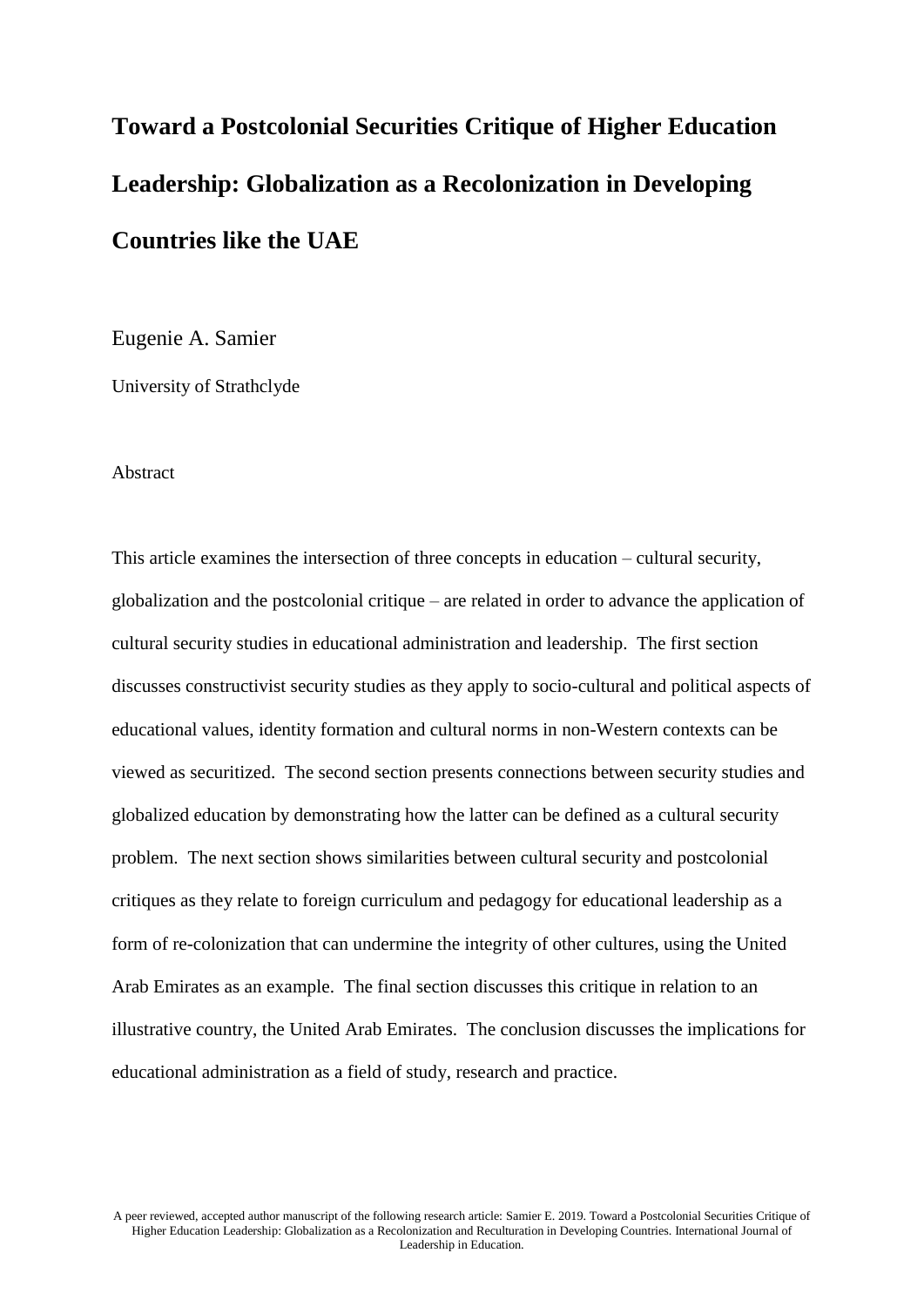# **Toward a Postcolonial Securities Critique of Higher Education Leadership: Globalization as a Recolonization in Developing Countries like the UAE**

Eugenie A. Samier

University of Strathclyde

#### Abstract

This article examines the intersection of three concepts in education – cultural security, globalization and the postcolonial critique – are related in order to advance the application of cultural security studies in educational administration and leadership. The first section discusses constructivist security studies as they apply to socio-cultural and political aspects of educational values, identity formation and cultural norms in non-Western contexts can be viewed as securitized. The second section presents connections between security studies and globalized education by demonstrating how the latter can be defined as a cultural security problem. The next section shows similarities between cultural security and postcolonial critiques as they relate to foreign curriculum and pedagogy for educational leadership as a form of re-colonization that can undermine the integrity of other cultures, using the United Arab Emirates as an example. The final section discusses this critique in relation to an illustrative country, the United Arab Emirates. The conclusion discusses the implications for educational administration as a field of study, research and practice.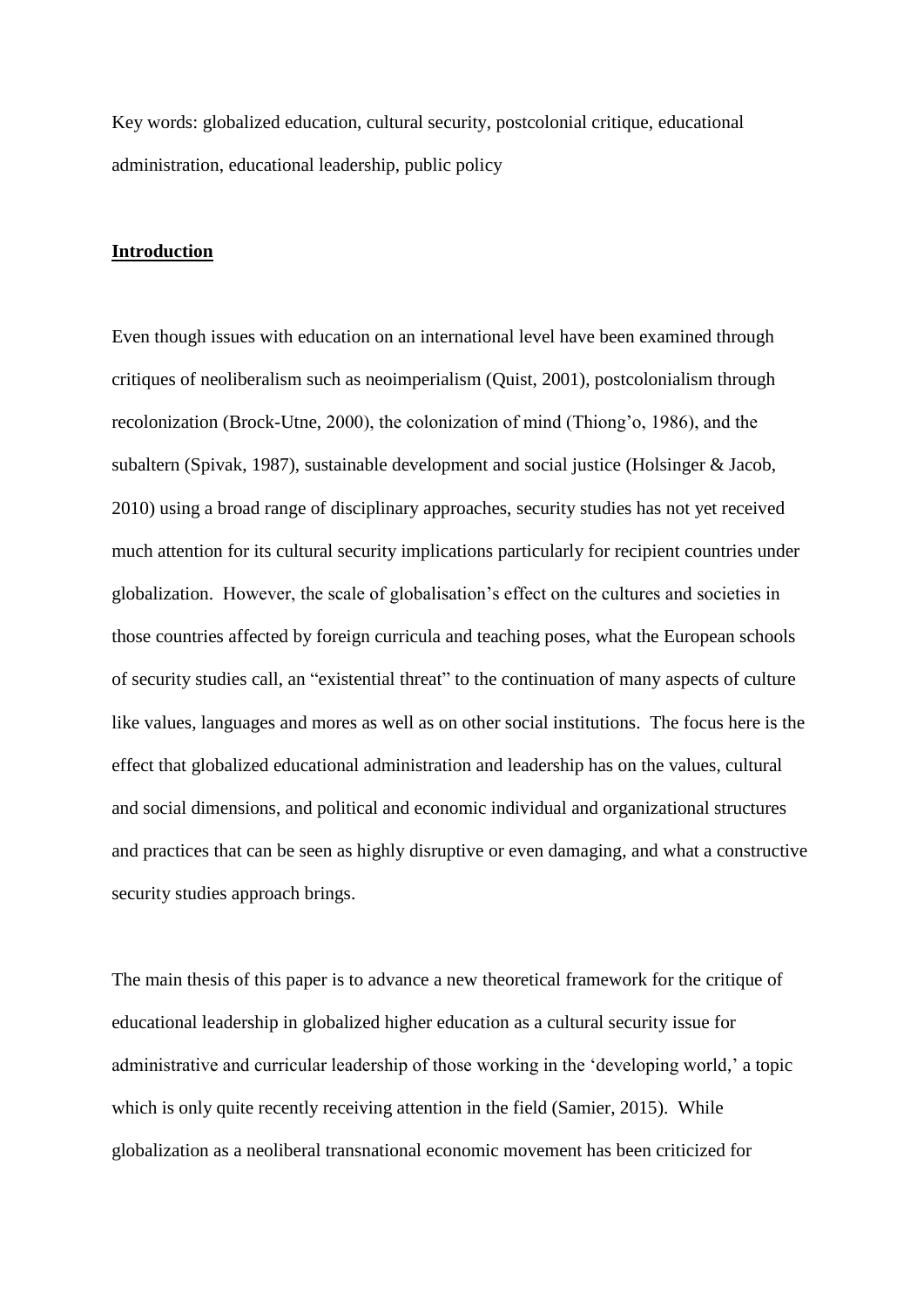Key words: globalized education, cultural security, postcolonial critique, educational administration, educational leadership, public policy

## **Introduction**

Even though issues with education on an international level have been examined through critiques of neoliberalism such as neoimperialism (Quist, 2001), postcolonialism through recolonization (Brock-Utne, 2000), the colonization of mind (Thiong'o, 1986), and the subaltern (Spivak, 1987), sustainable development and social justice (Holsinger & Jacob, 2010) using a broad range of disciplinary approaches, security studies has not yet received much attention for its cultural security implications particularly for recipient countries under globalization. However, the scale of globalisation's effect on the cultures and societies in those countries affected by foreign curricula and teaching poses, what the European schools of security studies call, an "existential threat" to the continuation of many aspects of culture like values, languages and mores as well as on other social institutions. The focus here is the effect that globalized educational administration and leadership has on the values, cultural and social dimensions, and political and economic individual and organizational structures and practices that can be seen as highly disruptive or even damaging, and what a constructive security studies approach brings.

The main thesis of this paper is to advance a new theoretical framework for the critique of educational leadership in globalized higher education as a cultural security issue for administrative and curricular leadership of those working in the 'developing world,' a topic which is only quite recently receiving attention in the field (Samier, 2015). While globalization as a neoliberal transnational economic movement has been criticized for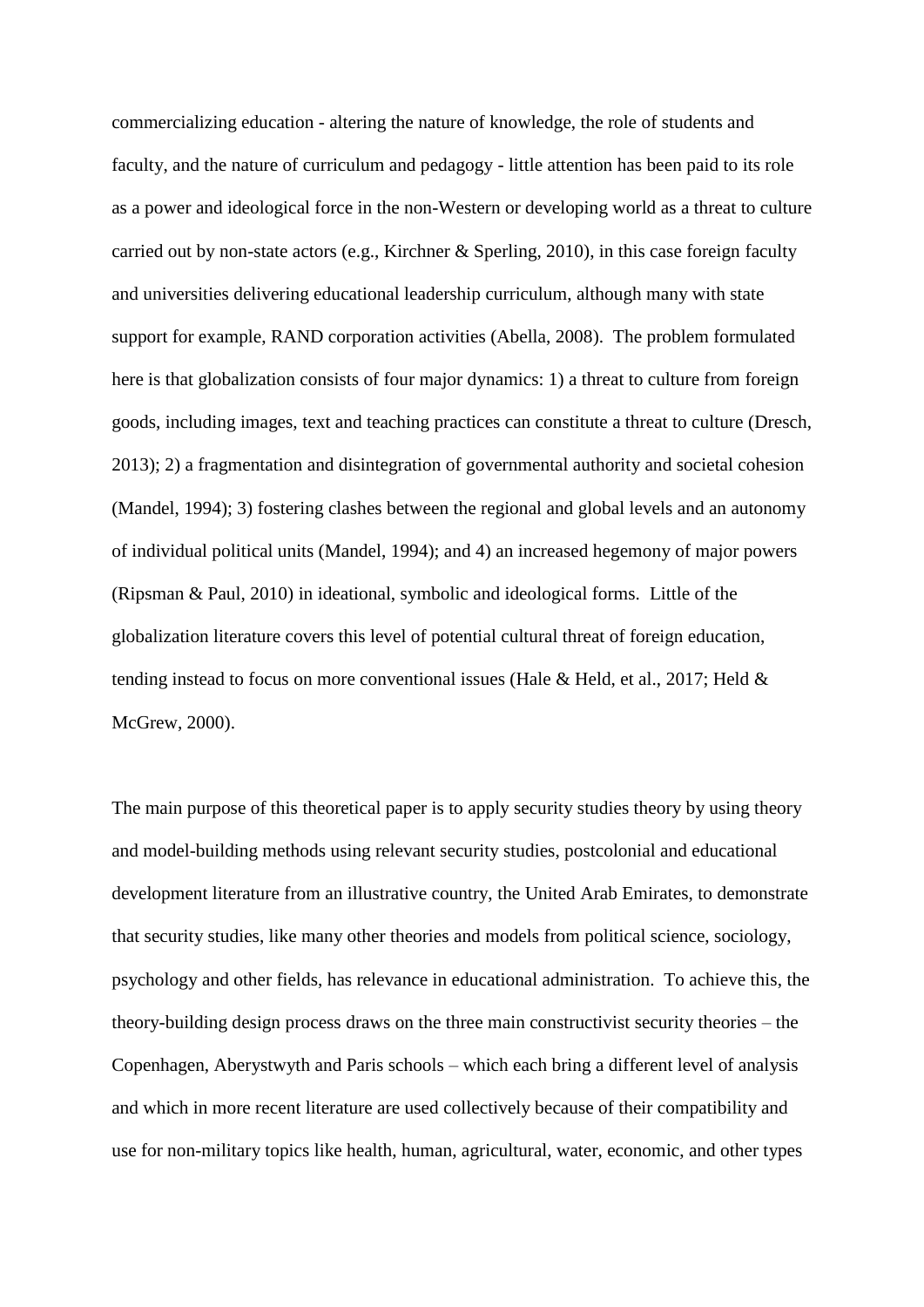commercializing education - altering the nature of knowledge, the role of students and faculty, and the nature of curriculum and pedagogy - little attention has been paid to its role as a power and ideological force in the non-Western or developing world as a threat to culture carried out by non-state actors (e.g., Kirchner & Sperling, 2010), in this case foreign faculty and universities delivering educational leadership curriculum, although many with state support for example, RAND corporation activities (Abella, 2008). The problem formulated here is that globalization consists of four major dynamics: 1) a threat to culture from foreign goods, including images, text and teaching practices can constitute a threat to culture (Dresch, 2013); 2) a fragmentation and disintegration of governmental authority and societal cohesion (Mandel, 1994); 3) fostering clashes between the regional and global levels and an autonomy of individual political units (Mandel, 1994); and 4) an increased hegemony of major powers (Ripsman & Paul, 2010) in ideational, symbolic and ideological forms. Little of the globalization literature covers this level of potential cultural threat of foreign education, tending instead to focus on more conventional issues (Hale & Held, et al., 2017; Held & McGrew, 2000).

The main purpose of this theoretical paper is to apply security studies theory by using theory and model-building methods using relevant security studies, postcolonial and educational development literature from an illustrative country, the United Arab Emirates, to demonstrate that security studies, like many other theories and models from political science, sociology, psychology and other fields, has relevance in educational administration. To achieve this, the theory-building design process draws on the three main constructivist security theories – the Copenhagen, Aberystwyth and Paris schools – which each bring a different level of analysis and which in more recent literature are used collectively because of their compatibility and use for non-military topics like health, human, agricultural, water, economic, and other types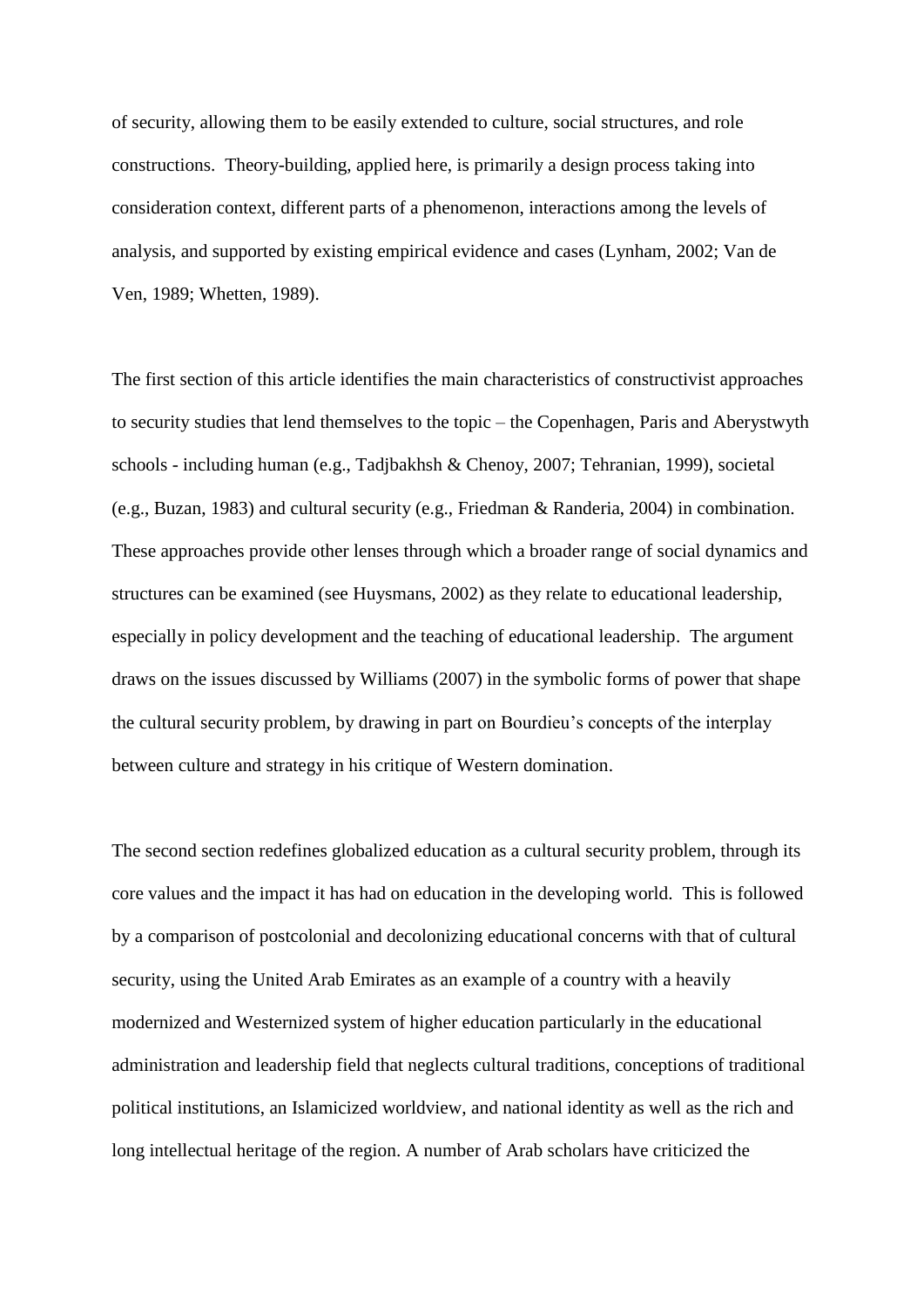of security, allowing them to be easily extended to culture, social structures, and role constructions. Theory-building, applied here, is primarily a design process taking into consideration context, different parts of a phenomenon, interactions among the levels of analysis, and supported by existing empirical evidence and cases (Lynham, 2002; Van de Ven, 1989; Whetten, 1989).

The first section of this article identifies the main characteristics of constructivist approaches to security studies that lend themselves to the topic – the Copenhagen, Paris and Aberystwyth schools - including human (e.g., Tadjbakhsh & Chenoy, 2007; Tehranian, 1999), societal (e.g., Buzan, 1983) and cultural security (e.g., Friedman & Randeria, 2004) in combination. These approaches provide other lenses through which a broader range of social dynamics and structures can be examined (see Huysmans, 2002) as they relate to educational leadership, especially in policy development and the teaching of educational leadership. The argument draws on the issues discussed by Williams (2007) in the symbolic forms of power that shape the cultural security problem, by drawing in part on Bourdieu's concepts of the interplay between culture and strategy in his critique of Western domination.

The second section redefines globalized education as a cultural security problem, through its core values and the impact it has had on education in the developing world. This is followed by a comparison of postcolonial and decolonizing educational concerns with that of cultural security, using the United Arab Emirates as an example of a country with a heavily modernized and Westernized system of higher education particularly in the educational administration and leadership field that neglects cultural traditions, conceptions of traditional political institutions, an Islamicized worldview, and national identity as well as the rich and long intellectual heritage of the region. A number of Arab scholars have criticized the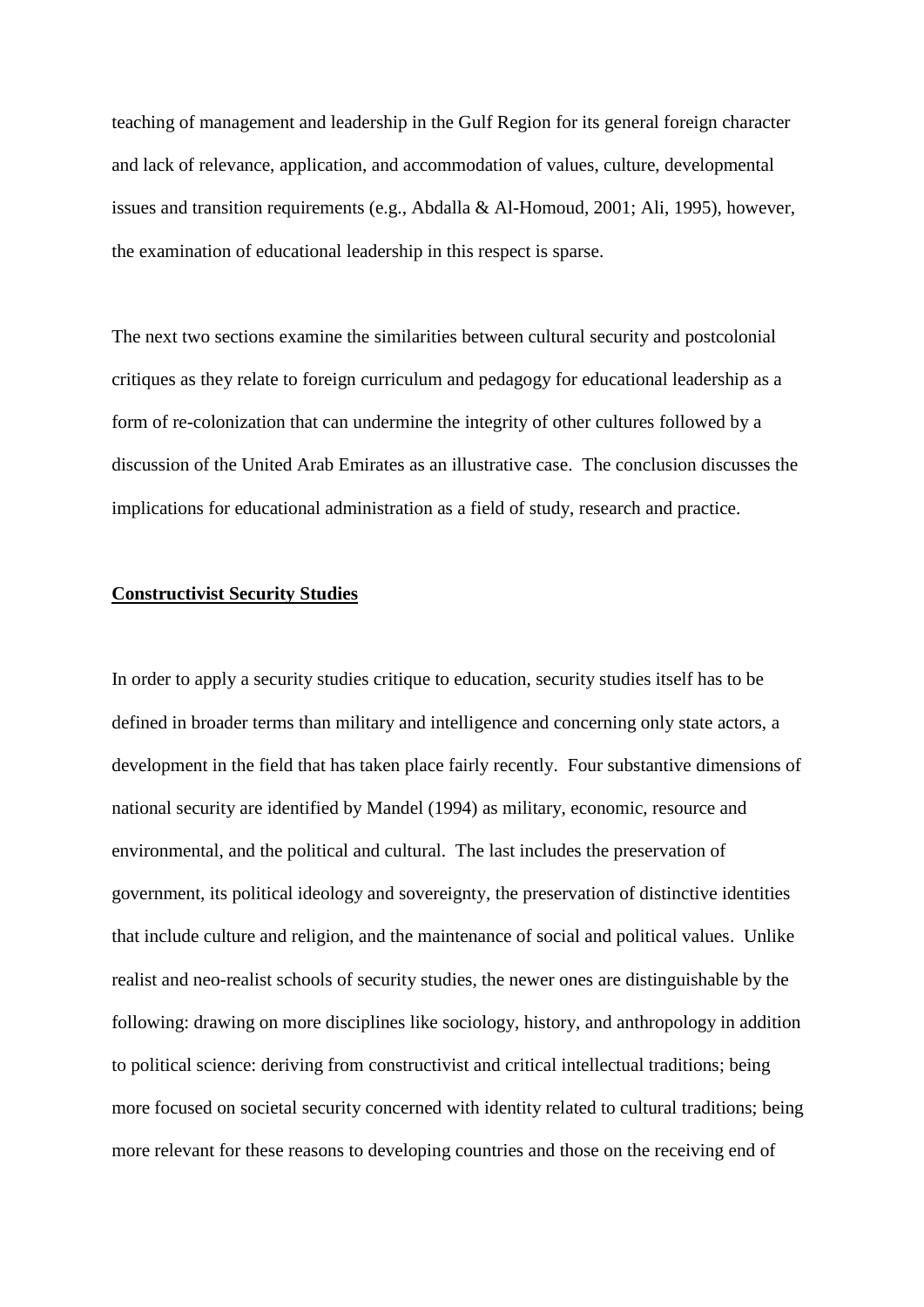teaching of management and leadership in the Gulf Region for its general foreign character and lack of relevance, application, and accommodation of values, culture, developmental issues and transition requirements (e.g., Abdalla & Al-Homoud, 2001; Ali, 1995), however, the examination of educational leadership in this respect is sparse.

The next two sections examine the similarities between cultural security and postcolonial critiques as they relate to foreign curriculum and pedagogy for educational leadership as a form of re-colonization that can undermine the integrity of other cultures followed by a discussion of the United Arab Emirates as an illustrative case. The conclusion discusses the implications for educational administration as a field of study, research and practice.

## **Constructivist Security Studies**

In order to apply a security studies critique to education, security studies itself has to be defined in broader terms than military and intelligence and concerning only state actors, a development in the field that has taken place fairly recently. Four substantive dimensions of national security are identified by Mandel (1994) as military, economic, resource and environmental, and the political and cultural. The last includes the preservation of government, its political ideology and sovereignty, the preservation of distinctive identities that include culture and religion, and the maintenance of social and political values. Unlike realist and neo-realist schools of security studies, the newer ones are distinguishable by the following: drawing on more disciplines like sociology, history, and anthropology in addition to political science: deriving from constructivist and critical intellectual traditions; being more focused on societal security concerned with identity related to cultural traditions; being more relevant for these reasons to developing countries and those on the receiving end of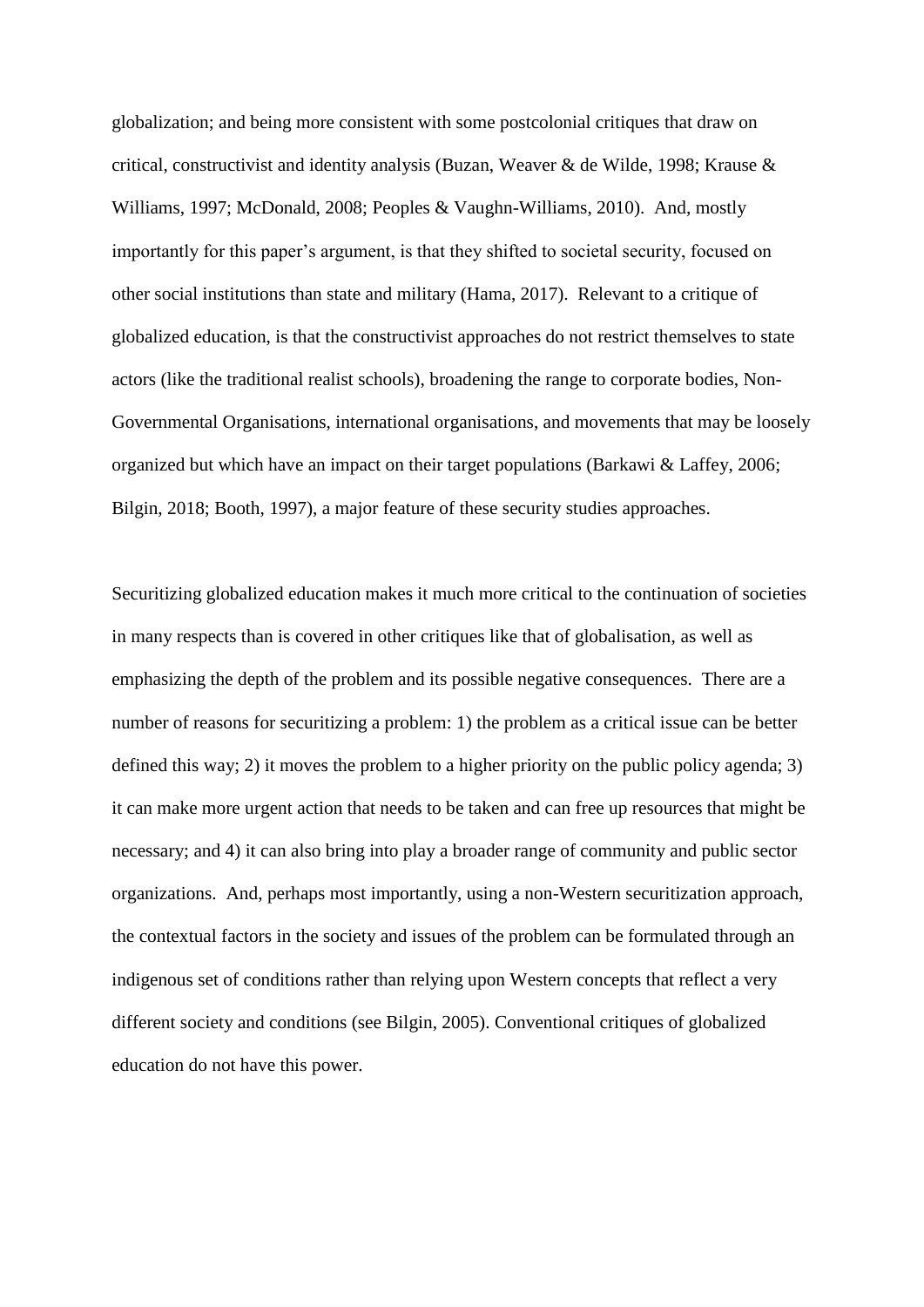globalization; and being more consistent with some postcolonial critiques that draw on critical, constructivist and identity analysis (Buzan, Weaver & de Wilde, 1998; Krause & Williams, 1997; McDonald, 2008; Peoples & Vaughn-Williams, 2010). And, mostly importantly for this paper's argument, is that they shifted to societal security, focused on other social institutions than state and military (Hama, 2017). Relevant to a critique of globalized education, is that the constructivist approaches do not restrict themselves to state actors (like the traditional realist schools), broadening the range to corporate bodies, Non-Governmental Organisations, international organisations, and movements that may be loosely organized but which have an impact on their target populations (Barkawi & Laffey, 2006; Bilgin, 2018; Booth, 1997), a major feature of these security studies approaches.

Securitizing globalized education makes it much more critical to the continuation of societies in many respects than is covered in other critiques like that of globalisation, as well as emphasizing the depth of the problem and its possible negative consequences. There are a number of reasons for securitizing a problem: 1) the problem as a critical issue can be better defined this way; 2) it moves the problem to a higher priority on the public policy agenda; 3) it can make more urgent action that needs to be taken and can free up resources that might be necessary; and 4) it can also bring into play a broader range of community and public sector organizations. And, perhaps most importantly, using a non-Western securitization approach, the contextual factors in the society and issues of the problem can be formulated through an indigenous set of conditions rather than relying upon Western concepts that reflect a very different society and conditions (see Bilgin, 2005). Conventional critiques of globalized education do not have this power.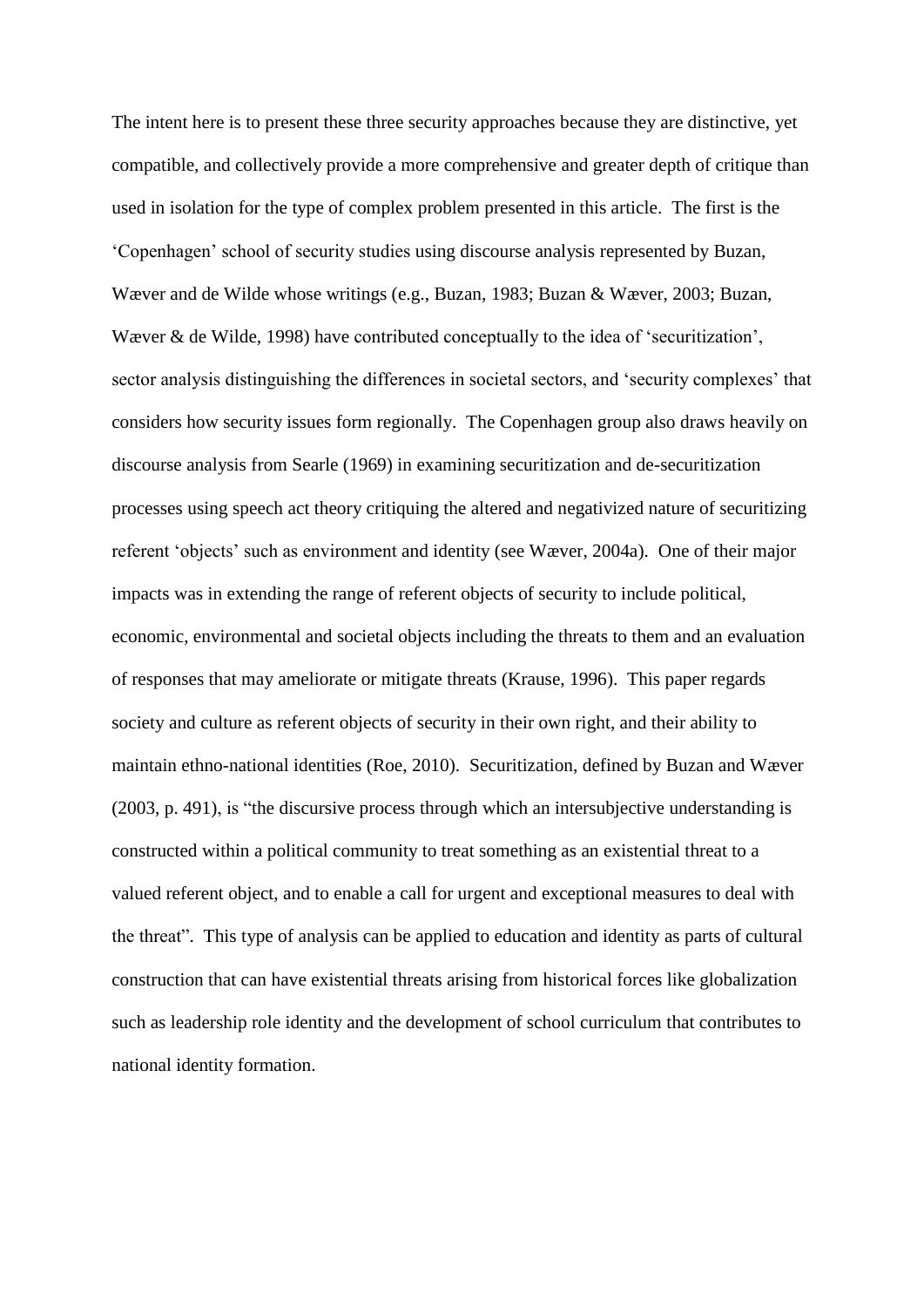The intent here is to present these three security approaches because they are distinctive, yet compatible, and collectively provide a more comprehensive and greater depth of critique than used in isolation for the type of complex problem presented in this article. The first is the 'Copenhagen' school of security studies using discourse analysis represented by Buzan, Wæver and de Wilde whose writings (e.g., Buzan, 1983; Buzan & Wæver, 2003; Buzan, Wæver & de Wilde, 1998) have contributed conceptually to the idea of 'securitization', sector analysis distinguishing the differences in societal sectors, and 'security complexes' that considers how security issues form regionally. The Copenhagen group also draws heavily on discourse analysis from Searle (1969) in examining securitization and de-securitization processes using speech act theory critiquing the altered and negativized nature of securitizing referent 'objects' such as environment and identity (see Wæver, 2004a). One of their major impacts was in extending the range of referent objects of security to include political, economic, environmental and societal objects including the threats to them and an evaluation of responses that may ameliorate or mitigate threats (Krause, 1996). This paper regards society and culture as referent objects of security in their own right, and their ability to maintain ethno-national identities (Roe, 2010). Securitization, defined by Buzan and Wæver (2003, p. 491), is "the discursive process through which an intersubjective understanding is constructed within a political community to treat something as an existential threat to a valued referent object, and to enable a call for urgent and exceptional measures to deal with the threat". This type of analysis can be applied to education and identity as parts of cultural construction that can have existential threats arising from historical forces like globalization such as leadership role identity and the development of school curriculum that contributes to national identity formation.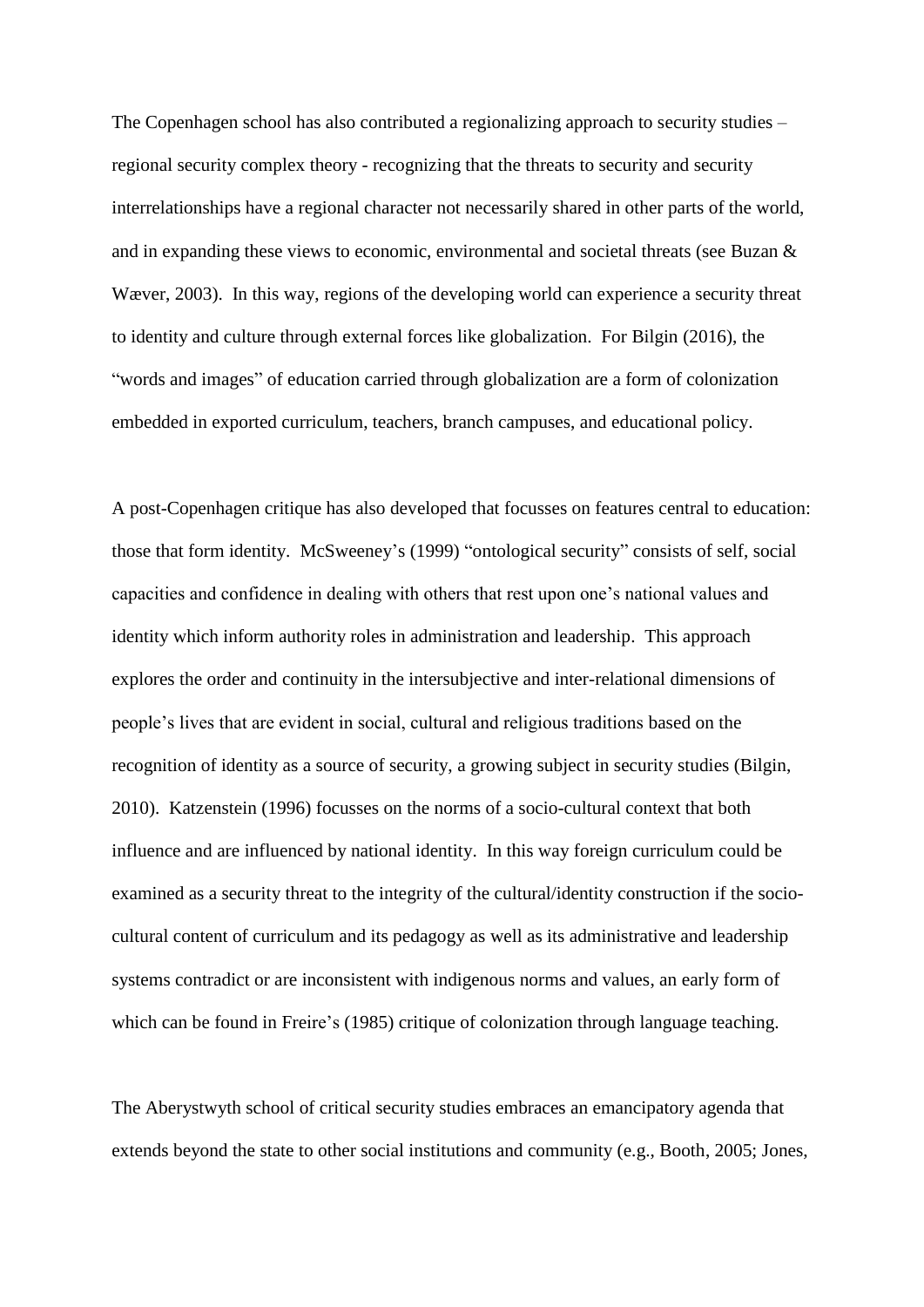The Copenhagen school has also contributed a regionalizing approach to security studies – regional security complex theory - recognizing that the threats to security and security interrelationships have a regional character not necessarily shared in other parts of the world, and in expanding these views to economic, environmental and societal threats (see Buzan & Wæver, 2003). In this way, regions of the developing world can experience a security threat to identity and culture through external forces like globalization. For Bilgin (2016), the "words and images" of education carried through globalization are a form of colonization embedded in exported curriculum, teachers, branch campuses, and educational policy.

A post-Copenhagen critique has also developed that focusses on features central to education: those that form identity. McSweeney's (1999) "ontological security" consists of self, social capacities and confidence in dealing with others that rest upon one's national values and identity which inform authority roles in administration and leadership. This approach explores the order and continuity in the intersubjective and inter-relational dimensions of people's lives that are evident in social, cultural and religious traditions based on the recognition of identity as a source of security, a growing subject in security studies (Bilgin, 2010). Katzenstein (1996) focusses on the norms of a socio-cultural context that both influence and are influenced by national identity. In this way foreign curriculum could be examined as a security threat to the integrity of the cultural/identity construction if the sociocultural content of curriculum and its pedagogy as well as its administrative and leadership systems contradict or are inconsistent with indigenous norms and values, an early form of which can be found in Freire's (1985) critique of colonization through language teaching.

The Aberystwyth school of critical security studies embraces an emancipatory agenda that extends beyond the state to other social institutions and community (e.g., Booth, 2005; Jones,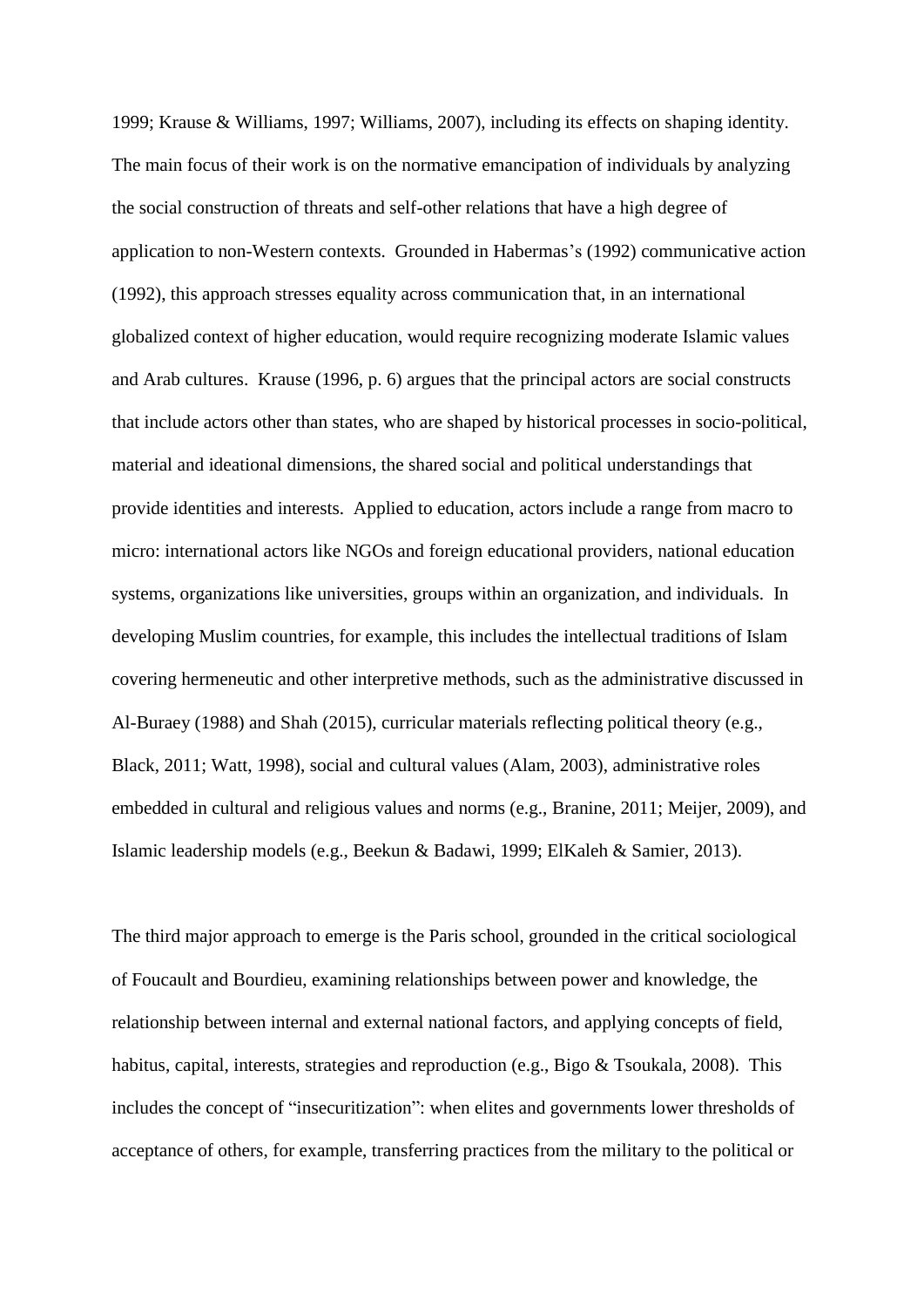1999; Krause & Williams, 1997; Williams, 2007), including its effects on shaping identity. The main focus of their work is on the normative emancipation of individuals by analyzing the social construction of threats and self-other relations that have a high degree of application to non-Western contexts. Grounded in Habermas's (1992) communicative action (1992), this approach stresses equality across communication that, in an international globalized context of higher education, would require recognizing moderate Islamic values and Arab cultures. Krause (1996, p. 6) argues that the principal actors are social constructs that include actors other than states, who are shaped by historical processes in socio-political, material and ideational dimensions, the shared social and political understandings that provide identities and interests. Applied to education, actors include a range from macro to micro: international actors like NGOs and foreign educational providers, national education systems, organizations like universities, groups within an organization, and individuals. In developing Muslim countries, for example, this includes the intellectual traditions of Islam covering hermeneutic and other interpretive methods, such as the administrative discussed in Al-Buraey (1988) and Shah (2015), curricular materials reflecting political theory (e.g., Black, 2011; Watt, 1998), social and cultural values (Alam, 2003), administrative roles embedded in cultural and religious values and norms (e.g., Branine, 2011; Meijer, 2009), and Islamic leadership models (e.g., Beekun & Badawi, 1999; ElKaleh & Samier, 2013).

The third major approach to emerge is the Paris school, grounded in the critical sociological of Foucault and Bourdieu, examining relationships between power and knowledge, the relationship between internal and external national factors, and applying concepts of field, habitus, capital, interests, strategies and reproduction (e.g., Bigo & Tsoukala, 2008). This includes the concept of "insecuritization": when elites and governments lower thresholds of acceptance of others, for example, transferring practices from the military to the political or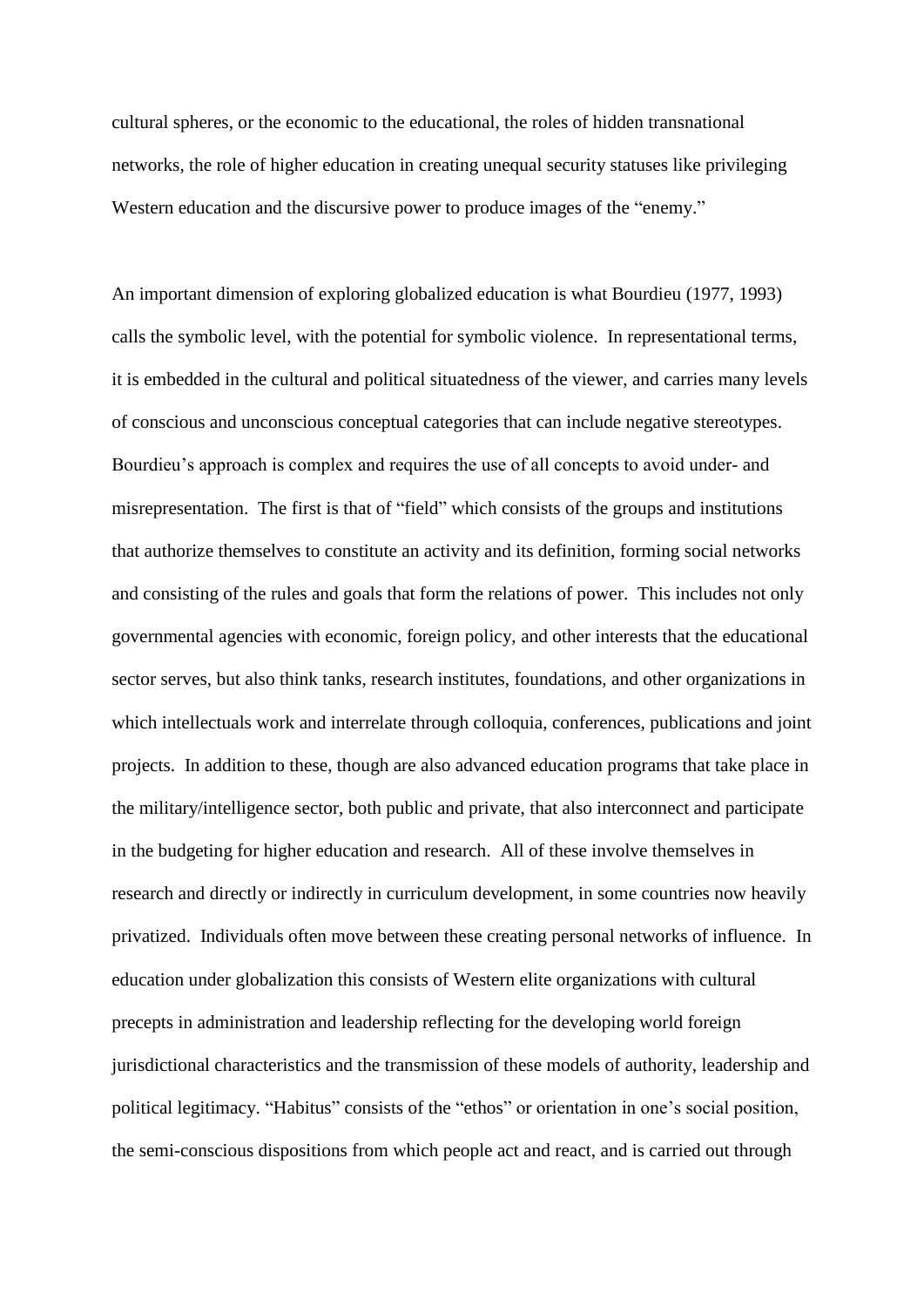cultural spheres, or the economic to the educational, the roles of hidden transnational networks, the role of higher education in creating unequal security statuses like privileging Western education and the discursive power to produce images of the "enemy."

An important dimension of exploring globalized education is what Bourdieu (1977, 1993) calls the symbolic level, with the potential for symbolic violence. In representational terms, it is embedded in the cultural and political situatedness of the viewer, and carries many levels of conscious and unconscious conceptual categories that can include negative stereotypes. Bourdieu's approach is complex and requires the use of all concepts to avoid under- and misrepresentation. The first is that of "field" which consists of the groups and institutions that authorize themselves to constitute an activity and its definition, forming social networks and consisting of the rules and goals that form the relations of power. This includes not only governmental agencies with economic, foreign policy, and other interests that the educational sector serves, but also think tanks, research institutes, foundations, and other organizations in which intellectuals work and interrelate through colloquia, conferences, publications and joint projects. In addition to these, though are also advanced education programs that take place in the military/intelligence sector, both public and private, that also interconnect and participate in the budgeting for higher education and research. All of these involve themselves in research and directly or indirectly in curriculum development, in some countries now heavily privatized. Individuals often move between these creating personal networks of influence. In education under globalization this consists of Western elite organizations with cultural precepts in administration and leadership reflecting for the developing world foreign jurisdictional characteristics and the transmission of these models of authority, leadership and political legitimacy. "Habitus" consists of the "ethos" or orientation in one's social position, the semi-conscious dispositions from which people act and react, and is carried out through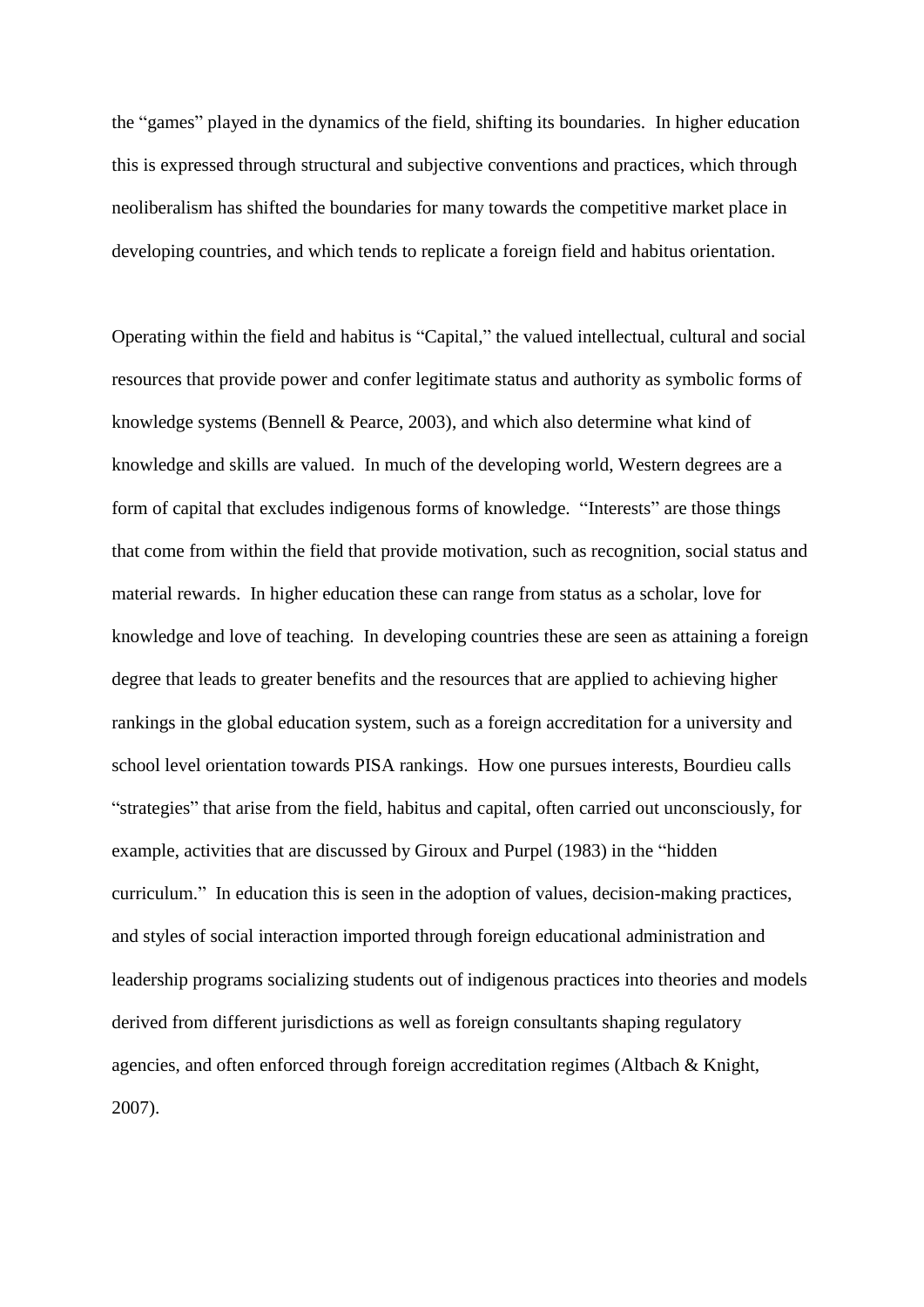the "games" played in the dynamics of the field, shifting its boundaries. In higher education this is expressed through structural and subjective conventions and practices, which through neoliberalism has shifted the boundaries for many towards the competitive market place in developing countries, and which tends to replicate a foreign field and habitus orientation.

Operating within the field and habitus is "Capital," the valued intellectual, cultural and social resources that provide power and confer legitimate status and authority as symbolic forms of knowledge systems (Bennell & Pearce, 2003), and which also determine what kind of knowledge and skills are valued. In much of the developing world, Western degrees are a form of capital that excludes indigenous forms of knowledge. "Interests" are those things that come from within the field that provide motivation, such as recognition, social status and material rewards. In higher education these can range from status as a scholar, love for knowledge and love of teaching. In developing countries these are seen as attaining a foreign degree that leads to greater benefits and the resources that are applied to achieving higher rankings in the global education system, such as a foreign accreditation for a university and school level orientation towards PISA rankings. How one pursues interests, Bourdieu calls "strategies" that arise from the field, habitus and capital, often carried out unconsciously, for example, activities that are discussed by Giroux and Purpel (1983) in the "hidden curriculum." In education this is seen in the adoption of values, decision-making practices, and styles of social interaction imported through foreign educational administration and leadership programs socializing students out of indigenous practices into theories and models derived from different jurisdictions as well as foreign consultants shaping regulatory agencies, and often enforced through foreign accreditation regimes (Altbach & Knight, 2007).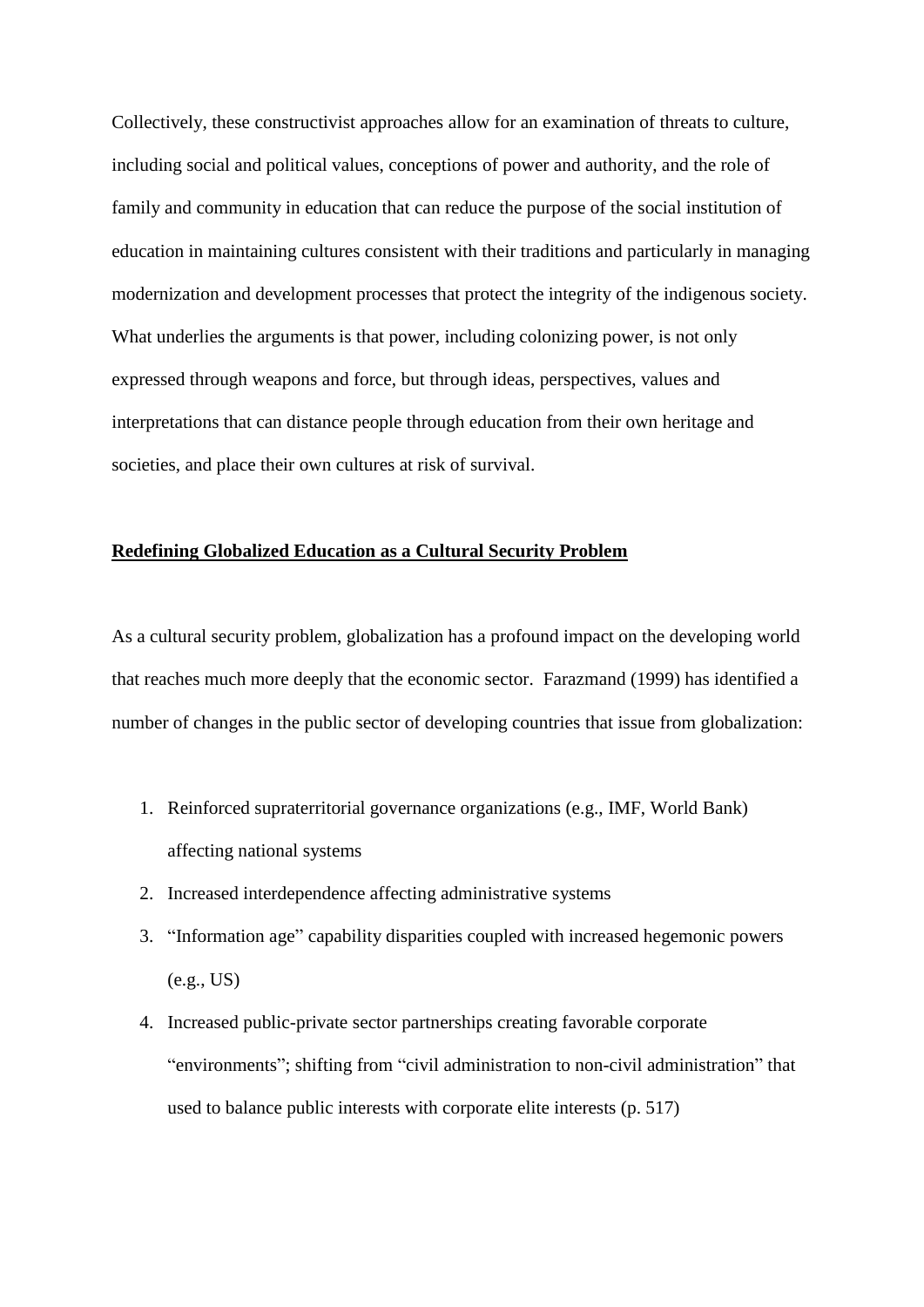Collectively, these constructivist approaches allow for an examination of threats to culture, including social and political values, conceptions of power and authority, and the role of family and community in education that can reduce the purpose of the social institution of education in maintaining cultures consistent with their traditions and particularly in managing modernization and development processes that protect the integrity of the indigenous society. What underlies the arguments is that power, including colonizing power, is not only expressed through weapons and force, but through ideas, perspectives, values and interpretations that can distance people through education from their own heritage and societies, and place their own cultures at risk of survival.

# **Redefining Globalized Education as a Cultural Security Problem**

As a cultural security problem, globalization has a profound impact on the developing world that reaches much more deeply that the economic sector. Farazmand (1999) has identified a number of changes in the public sector of developing countries that issue from globalization:

- 1. Reinforced supraterritorial governance organizations (e.g., IMF, World Bank) affecting national systems
- 2. Increased interdependence affecting administrative systems
- 3. "Information age" capability disparities coupled with increased hegemonic powers (e.g., US)
- 4. Increased public-private sector partnerships creating favorable corporate "environments"; shifting from "civil administration to non-civil administration" that used to balance public interests with corporate elite interests (p. 517)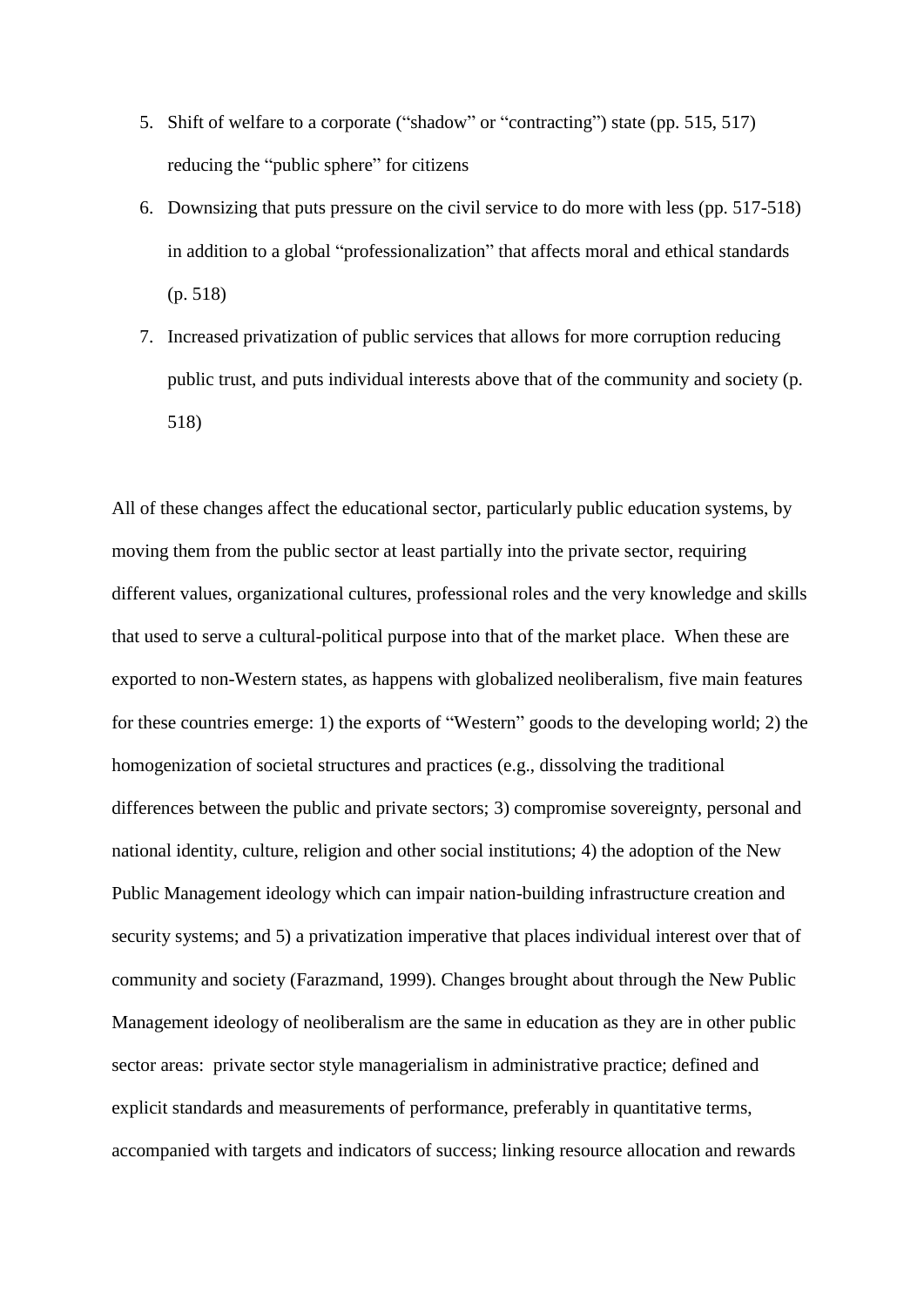- 5. Shift of welfare to a corporate ("shadow" or "contracting") state (pp. 515, 517) reducing the "public sphere" for citizens
- 6. Downsizing that puts pressure on the civil service to do more with less (pp. 517-518) in addition to a global "professionalization" that affects moral and ethical standards (p. 518)
- 7. Increased privatization of public services that allows for more corruption reducing public trust, and puts individual interests above that of the community and society (p. 518)

All of these changes affect the educational sector, particularly public education systems, by moving them from the public sector at least partially into the private sector, requiring different values, organizational cultures, professional roles and the very knowledge and skills that used to serve a cultural-political purpose into that of the market place. When these are exported to non-Western states, as happens with globalized neoliberalism, five main features for these countries emerge: 1) the exports of "Western" goods to the developing world; 2) the homogenization of societal structures and practices (e.g., dissolving the traditional differences between the public and private sectors; 3) compromise sovereignty, personal and national identity, culture, religion and other social institutions; 4) the adoption of the New Public Management ideology which can impair nation-building infrastructure creation and security systems; and 5) a privatization imperative that places individual interest over that of community and society (Farazmand, 1999). Changes brought about through the New Public Management ideology of neoliberalism are the same in education as they are in other public sector areas: private sector style managerialism in administrative practice; defined and explicit standards and measurements of performance, preferably in quantitative terms, accompanied with targets and indicators of success; linking resource allocation and rewards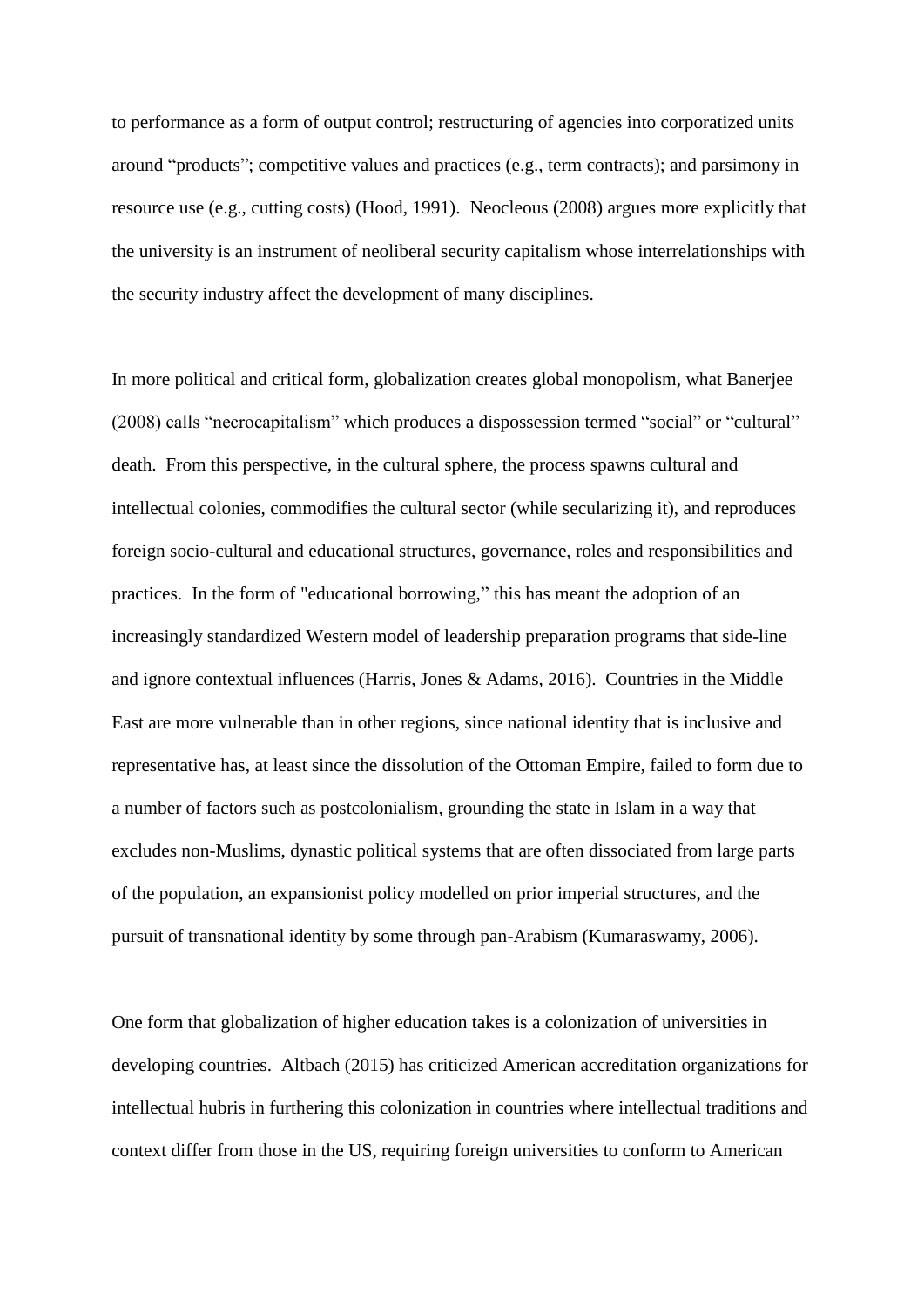to performance as a form of output control; restructuring of agencies into corporatized units around "products"; competitive values and practices (e.g., term contracts); and parsimony in resource use (e.g., cutting costs) (Hood, 1991). Neocleous (2008) argues more explicitly that the university is an instrument of neoliberal security capitalism whose interrelationships with the security industry affect the development of many disciplines.

In more political and critical form, globalization creates global monopolism, what Banerjee (2008) calls "necrocapitalism" which produces a dispossession termed "social" or "cultural" death. From this perspective, in the cultural sphere, the process spawns cultural and intellectual colonies, commodifies the cultural sector (while secularizing it), and reproduces foreign socio-cultural and educational structures, governance, roles and responsibilities and practices. In the form of "educational borrowing," this has meant the adoption of an increasingly standardized Western model of leadership preparation programs that side-line and ignore contextual influences (Harris, Jones & Adams, 2016). Countries in the Middle East are more vulnerable than in other regions, since national identity that is inclusive and representative has, at least since the dissolution of the Ottoman Empire, failed to form due to a number of factors such as postcolonialism, grounding the state in Islam in a way that excludes non-Muslims, dynastic political systems that are often dissociated from large parts of the population, an expansionist policy modelled on prior imperial structures, and the pursuit of transnational identity by some through pan-Arabism (Kumaraswamy, 2006).

One form that globalization of higher education takes is a colonization of universities in developing countries. Altbach (2015) has criticized American accreditation organizations for intellectual hubris in furthering this colonization in countries where intellectual traditions and context differ from those in the US, requiring foreign universities to conform to American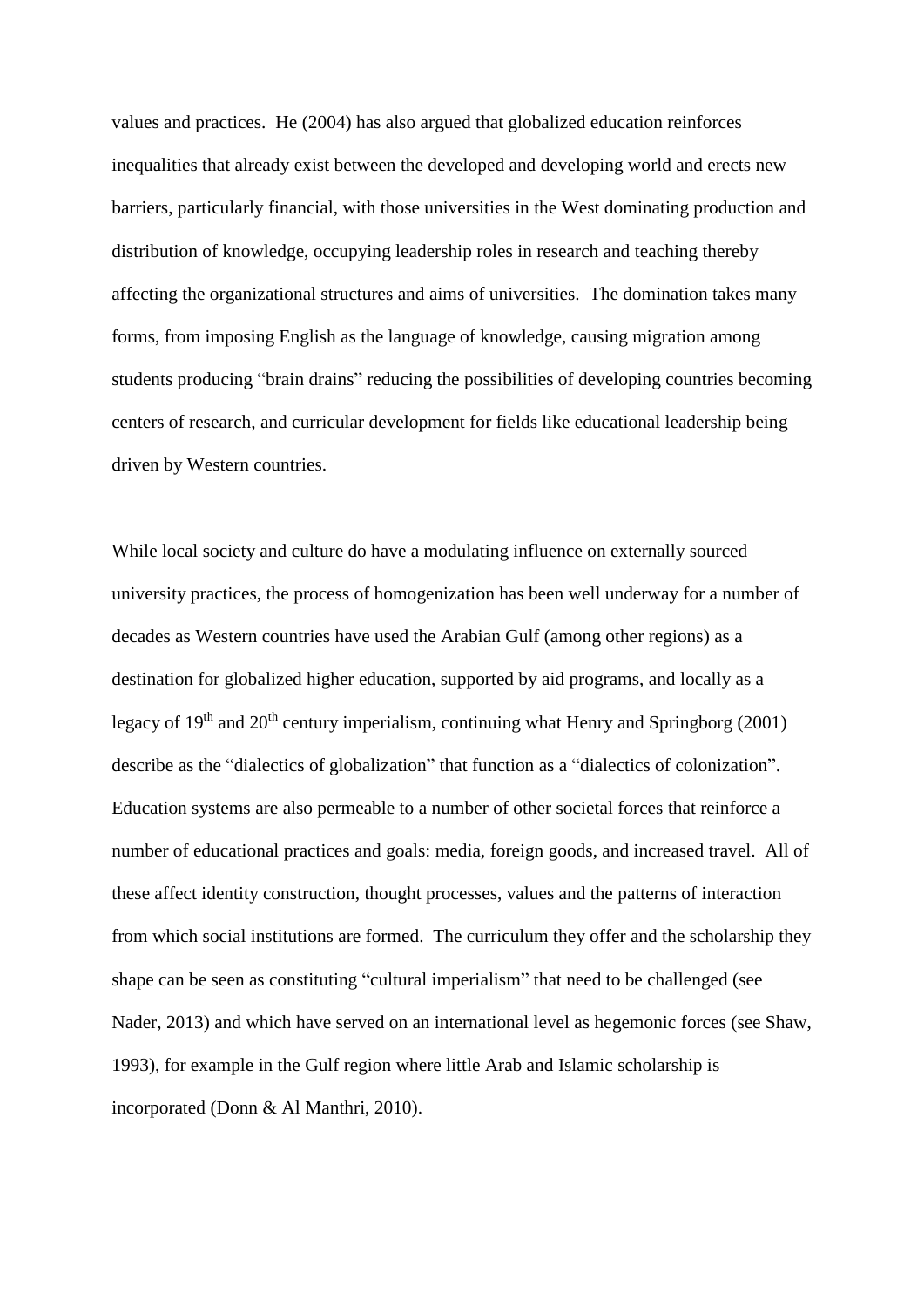values and practices. He (2004) has also argued that globalized education reinforces inequalities that already exist between the developed and developing world and erects new barriers, particularly financial, with those universities in the West dominating production and distribution of knowledge, occupying leadership roles in research and teaching thereby affecting the organizational structures and aims of universities. The domination takes many forms, from imposing English as the language of knowledge, causing migration among students producing "brain drains" reducing the possibilities of developing countries becoming centers of research, and curricular development for fields like educational leadership being driven by Western countries.

While local society and culture do have a modulating influence on externally sourced university practices, the process of homogenization has been well underway for a number of decades as Western countries have used the Arabian Gulf (among other regions) as a destination for globalized higher education, supported by aid programs, and locally as a legacy of  $19<sup>th</sup>$  and  $20<sup>th</sup>$  century imperialism, continuing what Henry and Springborg (2001) describe as the "dialectics of globalization" that function as a "dialectics of colonization". Education systems are also permeable to a number of other societal forces that reinforce a number of educational practices and goals: media, foreign goods, and increased travel. All of these affect identity construction, thought processes, values and the patterns of interaction from which social institutions are formed. The curriculum they offer and the scholarship they shape can be seen as constituting "cultural imperialism" that need to be challenged (see Nader, 2013) and which have served on an international level as hegemonic forces (see Shaw, 1993), for example in the Gulf region where little Arab and Islamic scholarship is incorporated (Donn & Al Manthri, 2010).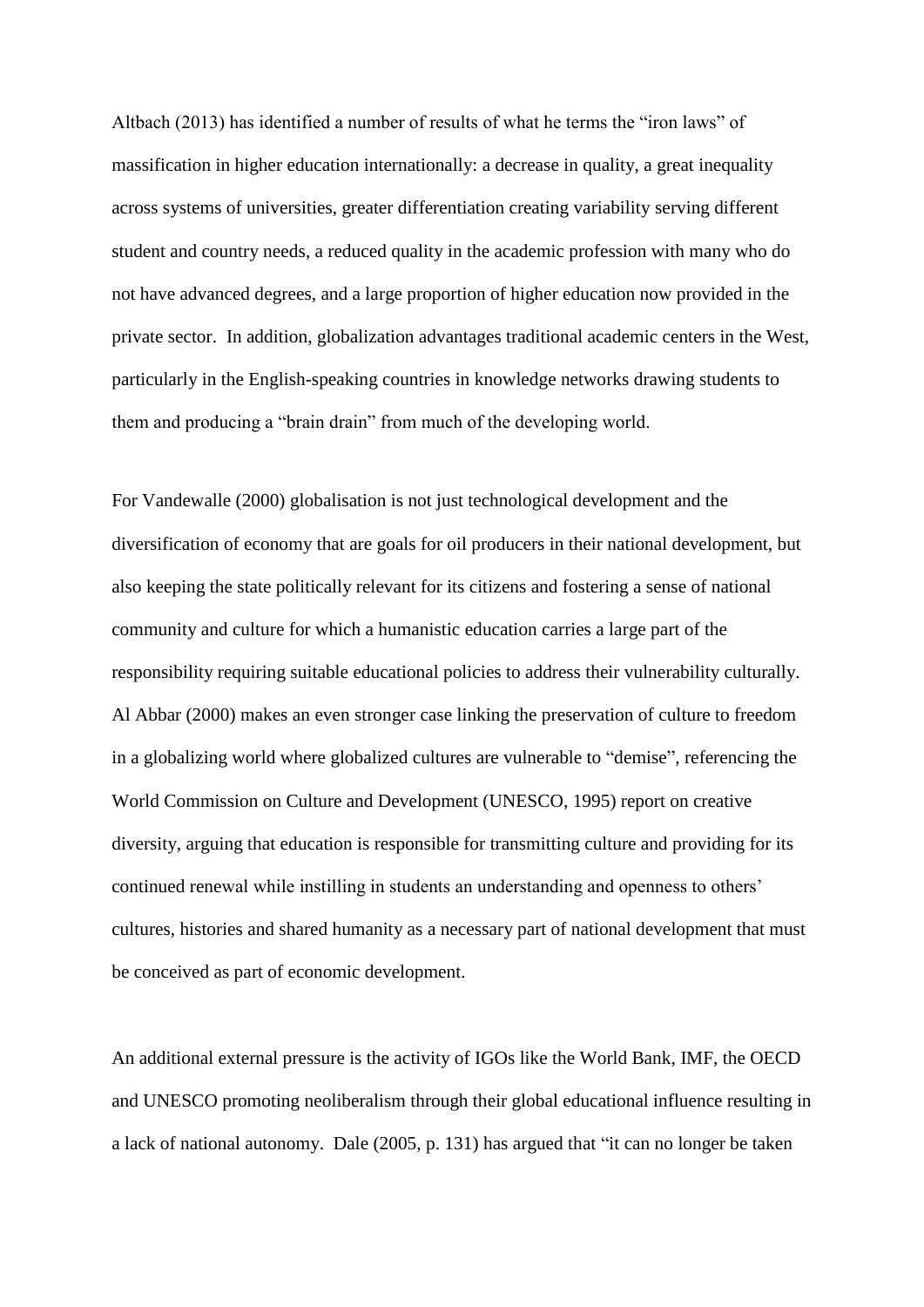Altbach (2013) has identified a number of results of what he terms the "iron laws" of massification in higher education internationally: a decrease in quality, a great inequality across systems of universities, greater differentiation creating variability serving different student and country needs, a reduced quality in the academic profession with many who do not have advanced degrees, and a large proportion of higher education now provided in the private sector. In addition, globalization advantages traditional academic centers in the West, particularly in the English-speaking countries in knowledge networks drawing students to them and producing a "brain drain" from much of the developing world.

For Vandewalle (2000) globalisation is not just technological development and the diversification of economy that are goals for oil producers in their national development, but also keeping the state politically relevant for its citizens and fostering a sense of national community and culture for which a humanistic education carries a large part of the responsibility requiring suitable educational policies to address their vulnerability culturally. Al Abbar (2000) makes an even stronger case linking the preservation of culture to freedom in a globalizing world where globalized cultures are vulnerable to "demise", referencing the World Commission on Culture and Development (UNESCO, 1995) report on creative diversity, arguing that education is responsible for transmitting culture and providing for its continued renewal while instilling in students an understanding and openness to others' cultures, histories and shared humanity as a necessary part of national development that must be conceived as part of economic development.

An additional external pressure is the activity of IGOs like the World Bank, IMF, the OECD and UNESCO promoting neoliberalism through their global educational influence resulting in a lack of national autonomy. Dale (2005, p. 131) has argued that "it can no longer be taken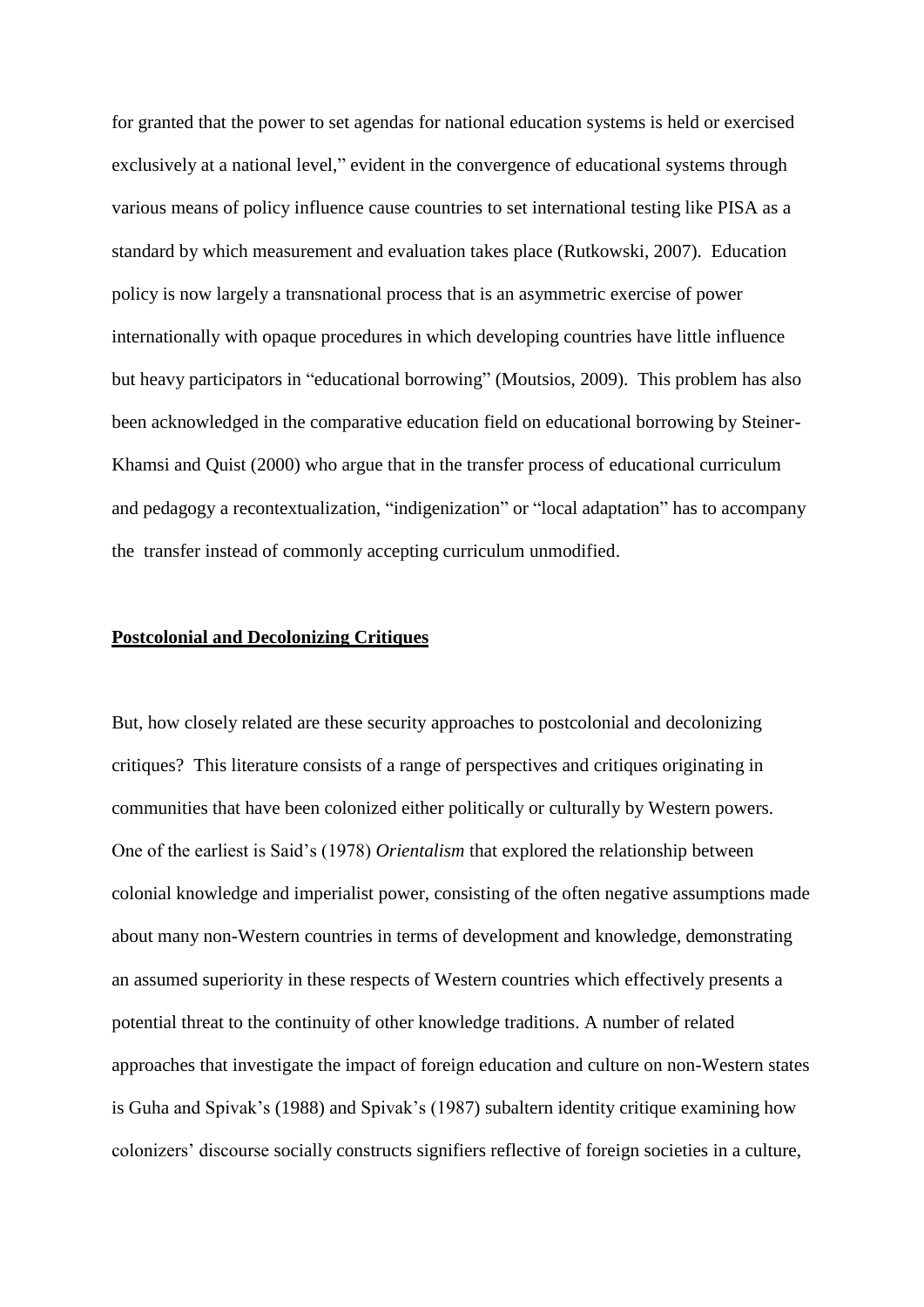for granted that the power to set agendas for national education systems is held or exercised exclusively at a national level," evident in the convergence of educational systems through various means of policy influence cause countries to set international testing like PISA as a standard by which measurement and evaluation takes place (Rutkowski, 2007). Education policy is now largely a transnational process that is an asymmetric exercise of power internationally with opaque procedures in which developing countries have little influence but heavy participators in "educational borrowing" (Moutsios, 2009). This problem has also been acknowledged in the comparative education field on educational borrowing by Steiner-Khamsi and Quist (2000) who argue that in the transfer process of educational curriculum and pedagogy a recontextualization, "indigenization" or "local adaptation" has to accompany the transfer instead of commonly accepting curriculum unmodified.

## **Postcolonial and Decolonizing Critiques**

But, how closely related are these security approaches to postcolonial and decolonizing critiques? This literature consists of a range of perspectives and critiques originating in communities that have been colonized either politically or culturally by Western powers. One of the earliest is Said's (1978) *Orientalism* that explored the relationship between colonial knowledge and imperialist power, consisting of the often negative assumptions made about many non-Western countries in terms of development and knowledge, demonstrating an assumed superiority in these respects of Western countries which effectively presents a potential threat to the continuity of other knowledge traditions. A number of related approaches that investigate the impact of foreign education and culture on non-Western states is Guha and Spivak's (1988) and Spivak's (1987) subaltern identity critique examining how colonizers' discourse socially constructs signifiers reflective of foreign societies in a culture,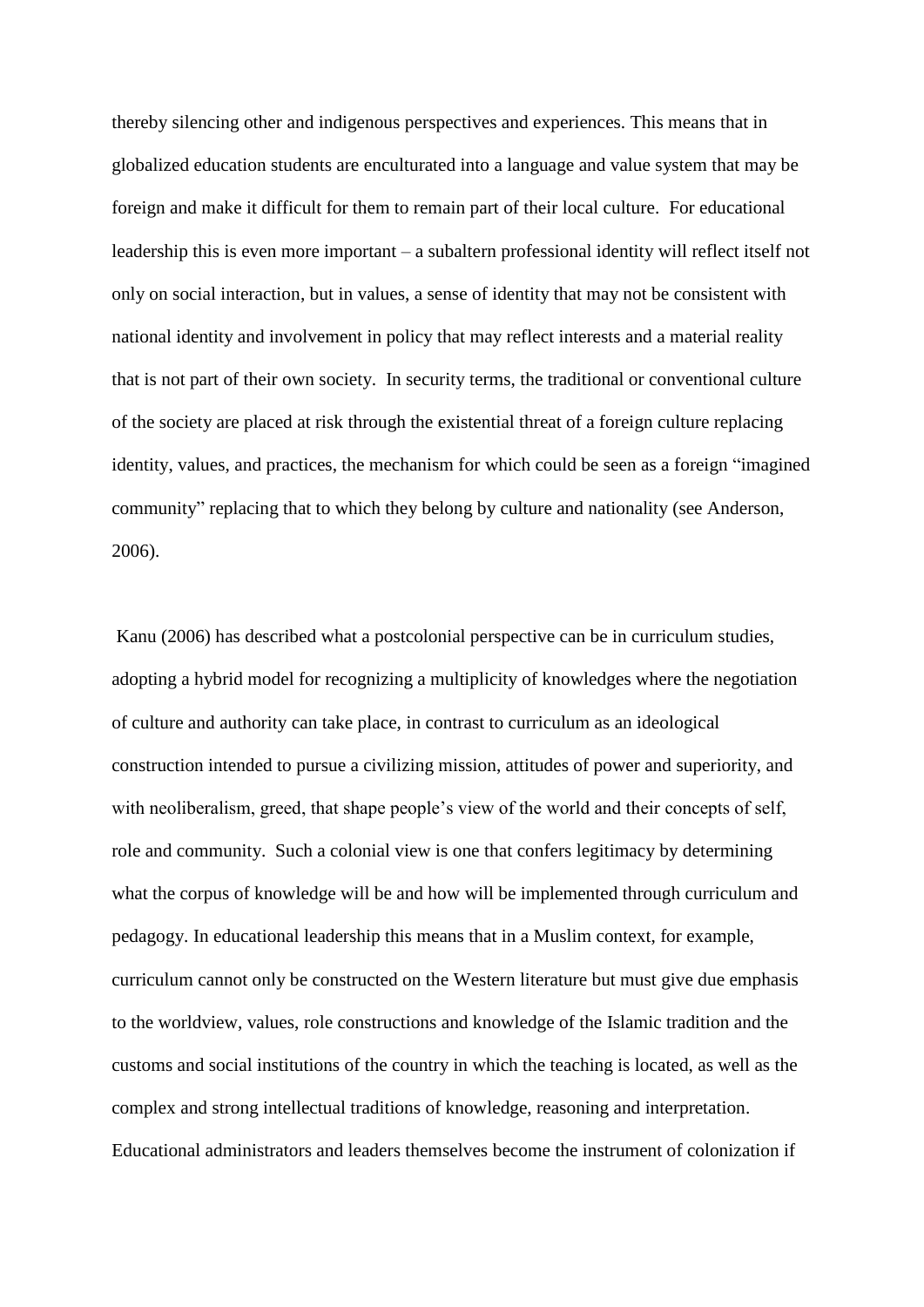thereby silencing other and indigenous perspectives and experiences. This means that in globalized education students are enculturated into a language and value system that may be foreign and make it difficult for them to remain part of their local culture. For educational leadership this is even more important – a subaltern professional identity will reflect itself not only on social interaction, but in values, a sense of identity that may not be consistent with national identity and involvement in policy that may reflect interests and a material reality that is not part of their own society. In security terms, the traditional or conventional culture of the society are placed at risk through the existential threat of a foreign culture replacing identity, values, and practices, the mechanism for which could be seen as a foreign "imagined community" replacing that to which they belong by culture and nationality (see Anderson, 2006).

Kanu (2006) has described what a postcolonial perspective can be in curriculum studies, adopting a hybrid model for recognizing a multiplicity of knowledges where the negotiation of culture and authority can take place, in contrast to curriculum as an ideological construction intended to pursue a civilizing mission, attitudes of power and superiority, and with neoliberalism, greed, that shape people's view of the world and their concepts of self, role and community. Such a colonial view is one that confers legitimacy by determining what the corpus of knowledge will be and how will be implemented through curriculum and pedagogy. In educational leadership this means that in a Muslim context, for example, curriculum cannot only be constructed on the Western literature but must give due emphasis to the worldview, values, role constructions and knowledge of the Islamic tradition and the customs and social institutions of the country in which the teaching is located, as well as the complex and strong intellectual traditions of knowledge, reasoning and interpretation. Educational administrators and leaders themselves become the instrument of colonization if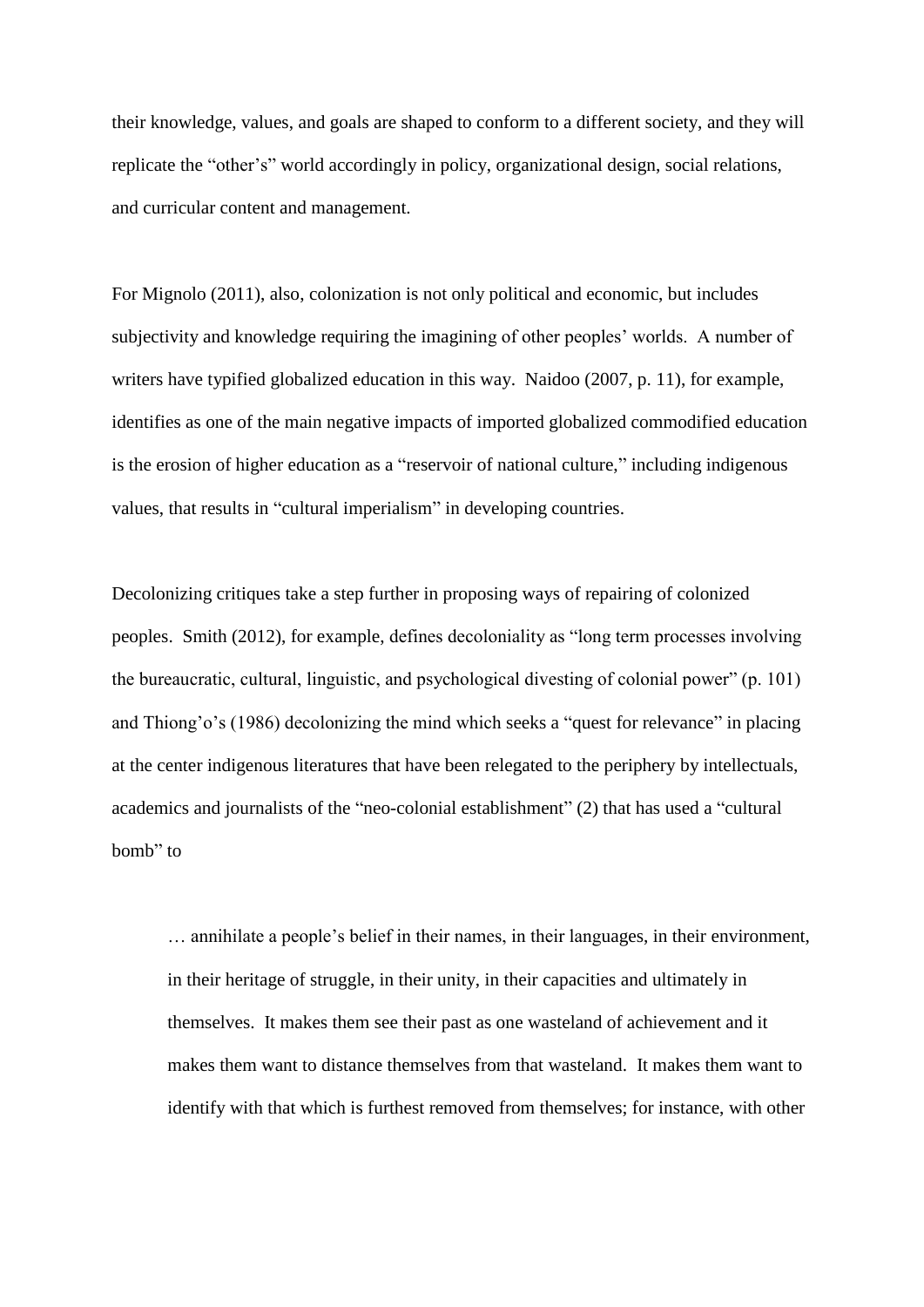their knowledge, values, and goals are shaped to conform to a different society, and they will replicate the "other's" world accordingly in policy, organizational design, social relations, and curricular content and management.

For Mignolo (2011), also, colonization is not only political and economic, but includes subjectivity and knowledge requiring the imagining of other peoples' worlds. A number of writers have typified globalized education in this way. Naidoo (2007, p. 11), for example, identifies as one of the main negative impacts of imported globalized commodified education is the erosion of higher education as a "reservoir of national culture," including indigenous values, that results in "cultural imperialism" in developing countries.

Decolonizing critiques take a step further in proposing ways of repairing of colonized peoples. Smith (2012), for example, defines decoloniality as "long term processes involving the bureaucratic, cultural, linguistic, and psychological divesting of colonial power" (p. 101) and Thiong'o's (1986) decolonizing the mind which seeks a "quest for relevance" in placing at the center indigenous literatures that have been relegated to the periphery by intellectuals, academics and journalists of the "neo-colonial establishment" (2) that has used a "cultural bomb" to

… annihilate a people's belief in their names, in their languages, in their environment, in their heritage of struggle, in their unity, in their capacities and ultimately in themselves. It makes them see their past as one wasteland of achievement and it makes them want to distance themselves from that wasteland. It makes them want to identify with that which is furthest removed from themselves; for instance, with other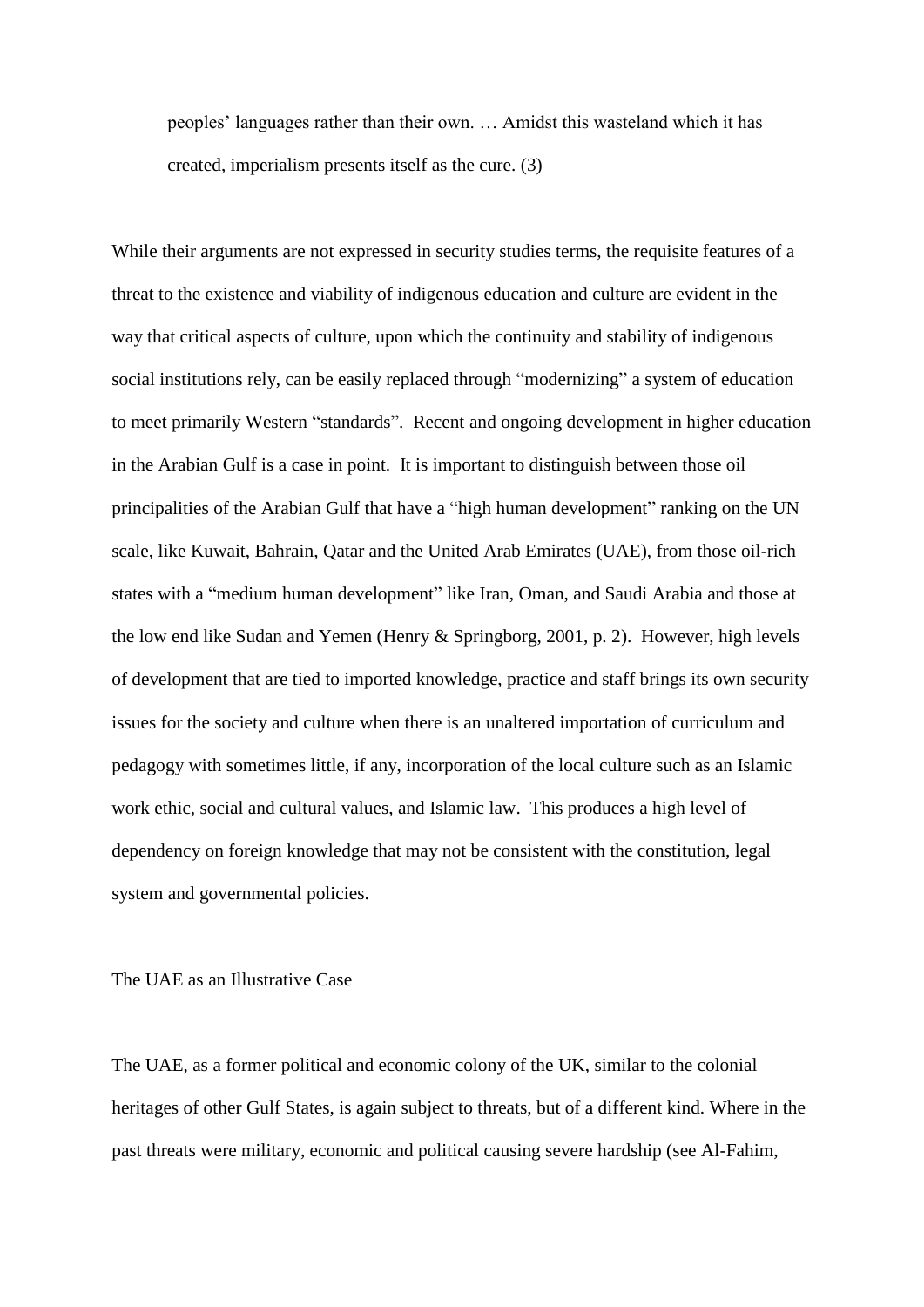peoples' languages rather than their own. … Amidst this wasteland which it has created, imperialism presents itself as the cure. (3)

While their arguments are not expressed in security studies terms, the requisite features of a threat to the existence and viability of indigenous education and culture are evident in the way that critical aspects of culture, upon which the continuity and stability of indigenous social institutions rely, can be easily replaced through "modernizing" a system of education to meet primarily Western "standards". Recent and ongoing development in higher education in the Arabian Gulf is a case in point. It is important to distinguish between those oil principalities of the Arabian Gulf that have a "high human development" ranking on the UN scale, like Kuwait, Bahrain, Qatar and the United Arab Emirates (UAE), from those oil-rich states with a "medium human development" like Iran, Oman, and Saudi Arabia and those at the low end like Sudan and Yemen (Henry & Springborg, 2001, p. 2). However, high levels of development that are tied to imported knowledge, practice and staff brings its own security issues for the society and culture when there is an unaltered importation of curriculum and pedagogy with sometimes little, if any, incorporation of the local culture such as an Islamic work ethic, social and cultural values, and Islamic law. This produces a high level of dependency on foreign knowledge that may not be consistent with the constitution, legal system and governmental policies.

The UAE as an Illustrative Case

The UAE, as a former political and economic colony of the UK, similar to the colonial heritages of other Gulf States, is again subject to threats, but of a different kind. Where in the past threats were military, economic and political causing severe hardship (see Al-Fahim,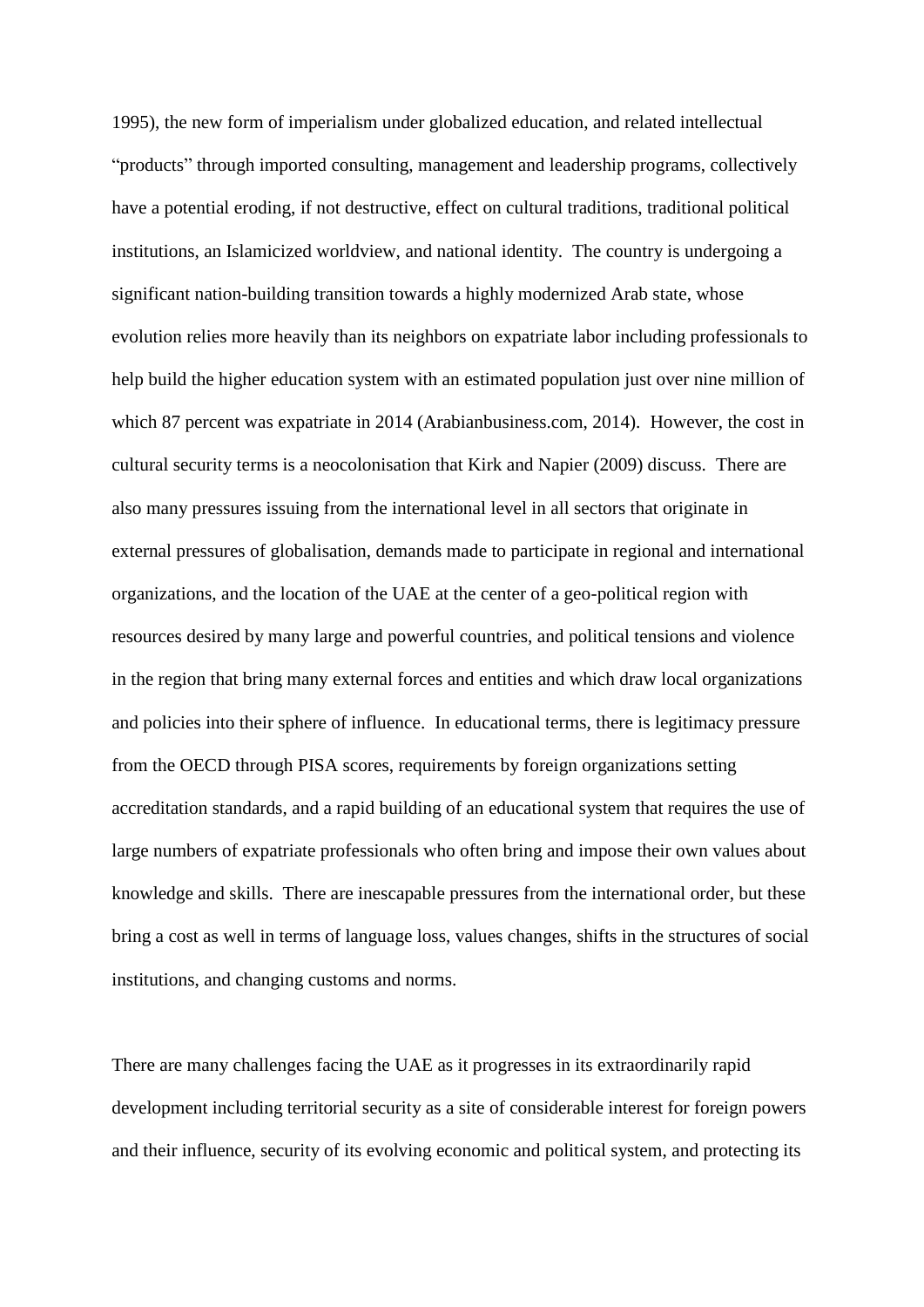1995), the new form of imperialism under globalized education, and related intellectual "products" through imported consulting, management and leadership programs, collectively have a potential eroding, if not destructive, effect on cultural traditions, traditional political institutions, an Islamicized worldview, and national identity. The country is undergoing a significant nation-building transition towards a highly modernized Arab state, whose evolution relies more heavily than its neighbors on expatriate labor including professionals to help build the higher education system with an estimated population just over nine million of which 87 percent was expatriate in 2014 (Arabianbusiness.com, 2014). However, the cost in cultural security terms is a neocolonisation that Kirk and Napier (2009) discuss. There are also many pressures issuing from the international level in all sectors that originate in external pressures of globalisation, demands made to participate in regional and international organizations, and the location of the UAE at the center of a geo-political region with resources desired by many large and powerful countries, and political tensions and violence in the region that bring many external forces and entities and which draw local organizations and policies into their sphere of influence. In educational terms, there is legitimacy pressure from the OECD through PISA scores, requirements by foreign organizations setting accreditation standards, and a rapid building of an educational system that requires the use of large numbers of expatriate professionals who often bring and impose their own values about knowledge and skills. There are inescapable pressures from the international order, but these bring a cost as well in terms of language loss, values changes, shifts in the structures of social institutions, and changing customs and norms.

There are many challenges facing the UAE as it progresses in its extraordinarily rapid development including territorial security as a site of considerable interest for foreign powers and their influence, security of its evolving economic and political system, and protecting its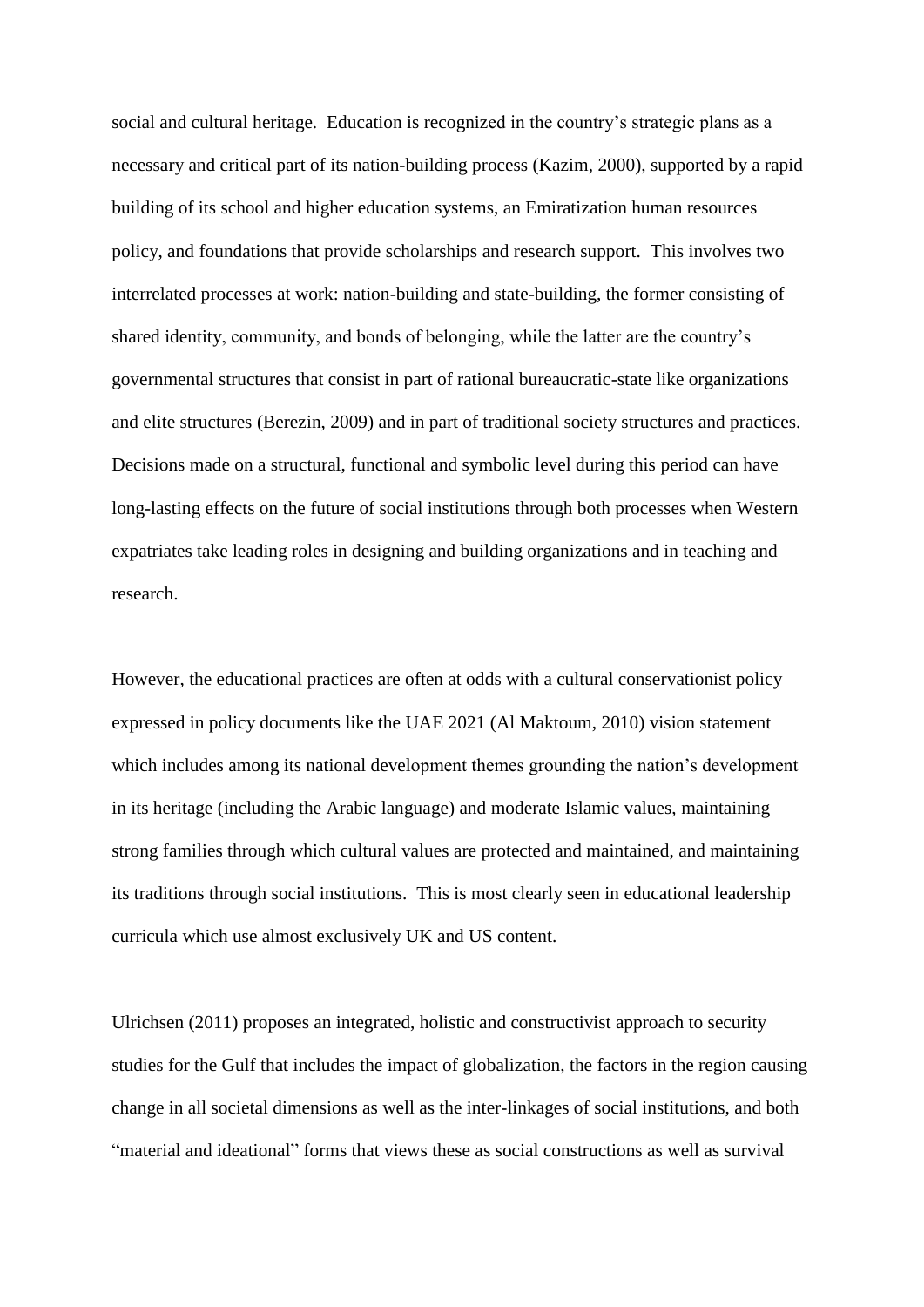social and cultural heritage. Education is recognized in the country's strategic plans as a necessary and critical part of its nation-building process (Kazim, 2000), supported by a rapid building of its school and higher education systems, an Emiratization human resources policy, and foundations that provide scholarships and research support. This involves two interrelated processes at work: nation-building and state-building, the former consisting of shared identity, community, and bonds of belonging, while the latter are the country's governmental structures that consist in part of rational bureaucratic-state like organizations and elite structures (Berezin, 2009) and in part of traditional society structures and practices. Decisions made on a structural, functional and symbolic level during this period can have long-lasting effects on the future of social institutions through both processes when Western expatriates take leading roles in designing and building organizations and in teaching and research.

However, the educational practices are often at odds with a cultural conservationist policy expressed in policy documents like the UAE 2021 (Al Maktoum, 2010) vision statement which includes among its national development themes grounding the nation's development in its heritage (including the Arabic language) and moderate Islamic values, maintaining strong families through which cultural values are protected and maintained, and maintaining its traditions through social institutions. This is most clearly seen in educational leadership curricula which use almost exclusively UK and US content.

Ulrichsen (2011) proposes an integrated, holistic and constructivist approach to security studies for the Gulf that includes the impact of globalization, the factors in the region causing change in all societal dimensions as well as the inter-linkages of social institutions, and both "material and ideational" forms that views these as social constructions as well as survival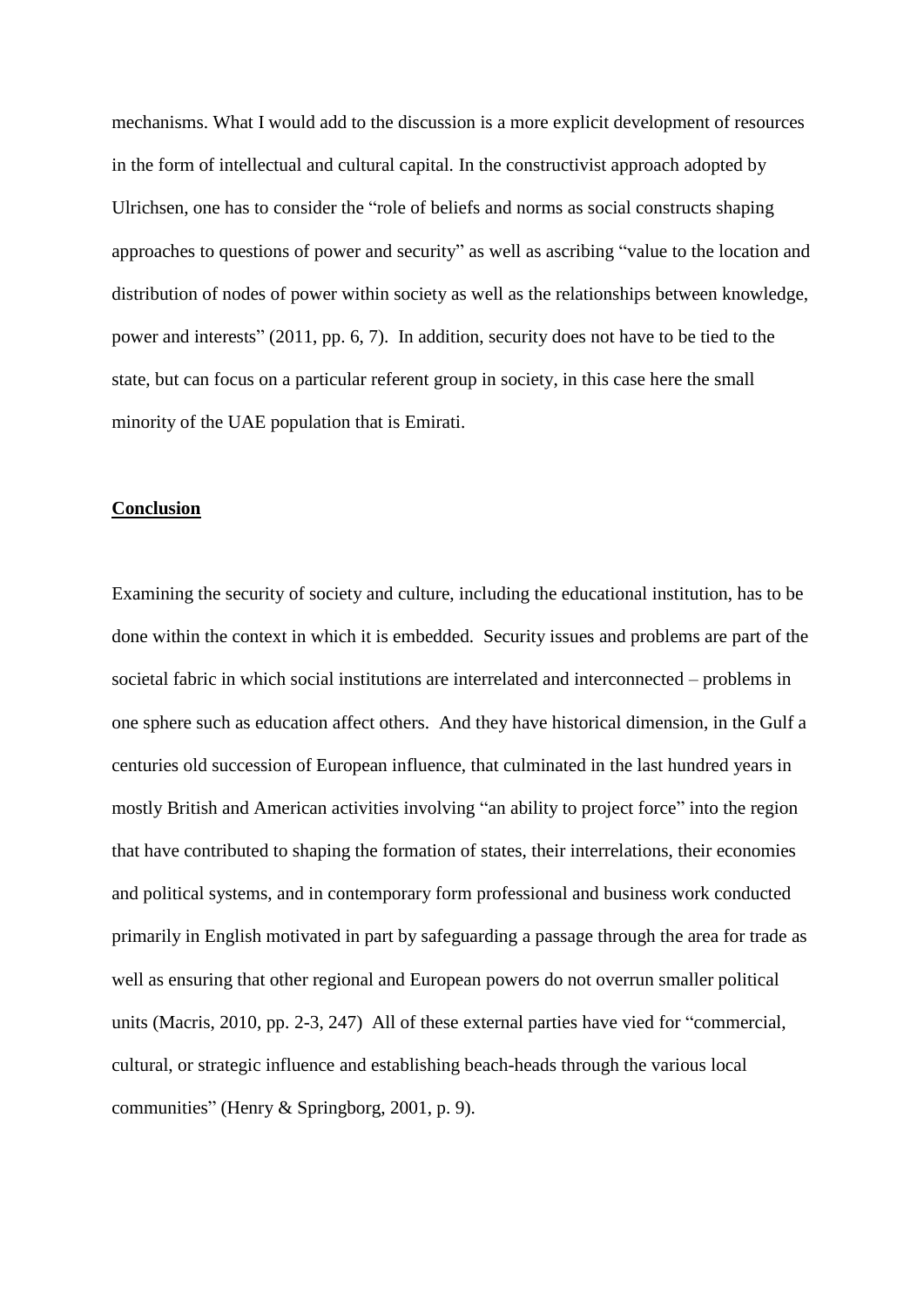mechanisms. What I would add to the discussion is a more explicit development of resources in the form of intellectual and cultural capital. In the constructivist approach adopted by Ulrichsen, one has to consider the "role of beliefs and norms as social constructs shaping approaches to questions of power and security" as well as ascribing "value to the location and distribution of nodes of power within society as well as the relationships between knowledge, power and interests" (2011, pp. 6, 7). In addition, security does not have to be tied to the state, but can focus on a particular referent group in society, in this case here the small minority of the UAE population that is Emirati.

## **Conclusion**

Examining the security of society and culture, including the educational institution, has to be done within the context in which it is embedded. Security issues and problems are part of the societal fabric in which social institutions are interrelated and interconnected – problems in one sphere such as education affect others. And they have historical dimension, in the Gulf a centuries old succession of European influence, that culminated in the last hundred years in mostly British and American activities involving "an ability to project force" into the region that have contributed to shaping the formation of states, their interrelations, their economies and political systems, and in contemporary form professional and business work conducted primarily in English motivated in part by safeguarding a passage through the area for trade as well as ensuring that other regional and European powers do not overrun smaller political units (Macris, 2010, pp. 2-3, 247) All of these external parties have vied for "commercial, cultural, or strategic influence and establishing beach-heads through the various local communities" (Henry & Springborg, 2001, p. 9).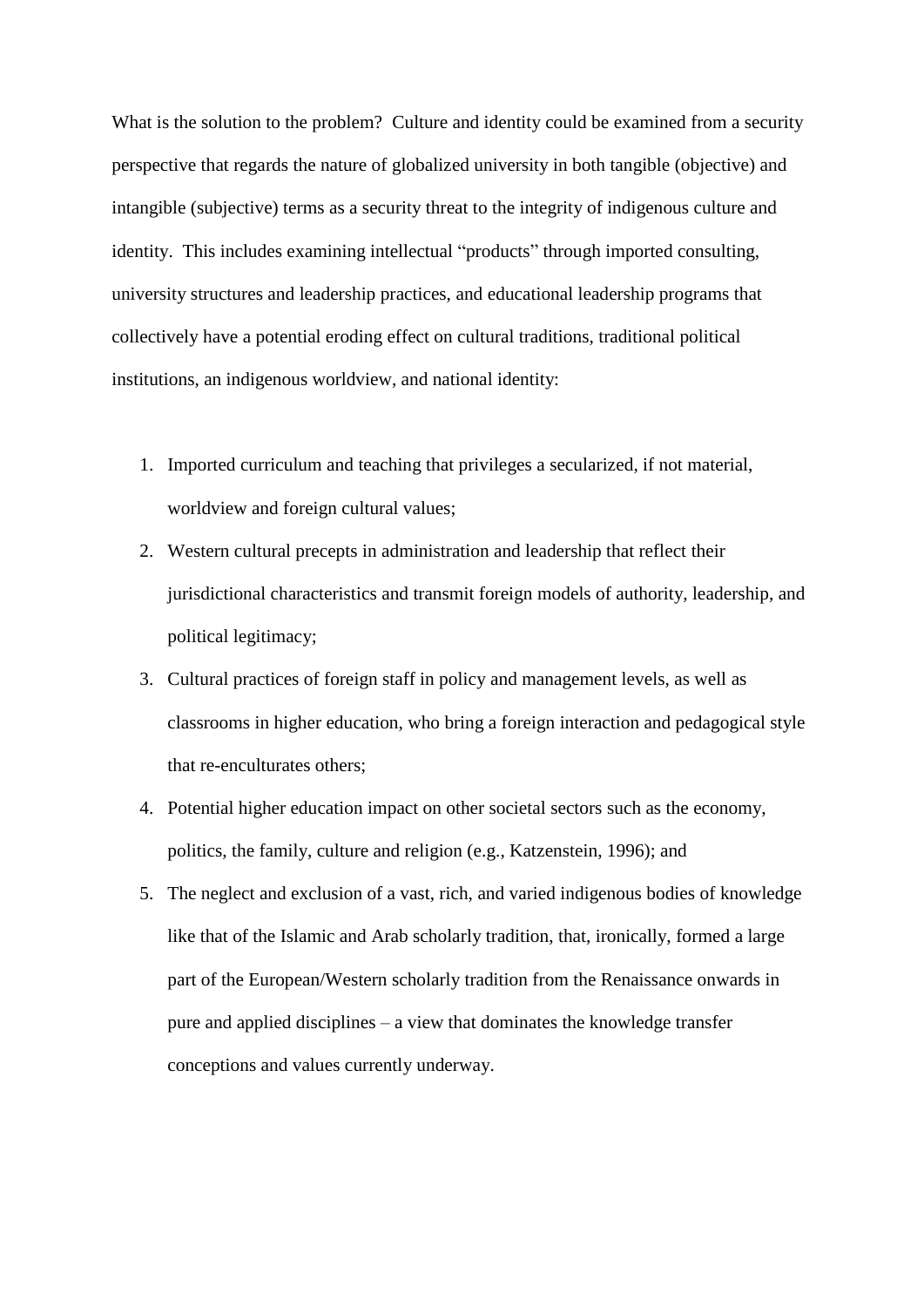What is the solution to the problem? Culture and identity could be examined from a security perspective that regards the nature of globalized university in both tangible (objective) and intangible (subjective) terms as a security threat to the integrity of indigenous culture and identity. This includes examining intellectual "products" through imported consulting, university structures and leadership practices, and educational leadership programs that collectively have a potential eroding effect on cultural traditions, traditional political institutions, an indigenous worldview, and national identity:

- 1. Imported curriculum and teaching that privileges a secularized, if not material, worldview and foreign cultural values;
- 2. Western cultural precepts in administration and leadership that reflect their jurisdictional characteristics and transmit foreign models of authority, leadership, and political legitimacy;
- 3. Cultural practices of foreign staff in policy and management levels, as well as classrooms in higher education, who bring a foreign interaction and pedagogical style that re-enculturates others;
- 4. Potential higher education impact on other societal sectors such as the economy, politics, the family, culture and religion (e.g., Katzenstein, 1996); and
- 5. The neglect and exclusion of a vast, rich, and varied indigenous bodies of knowledge like that of the Islamic and Arab scholarly tradition, that, ironically, formed a large part of the European/Western scholarly tradition from the Renaissance onwards in pure and applied disciplines – a view that dominates the knowledge transfer conceptions and values currently underway.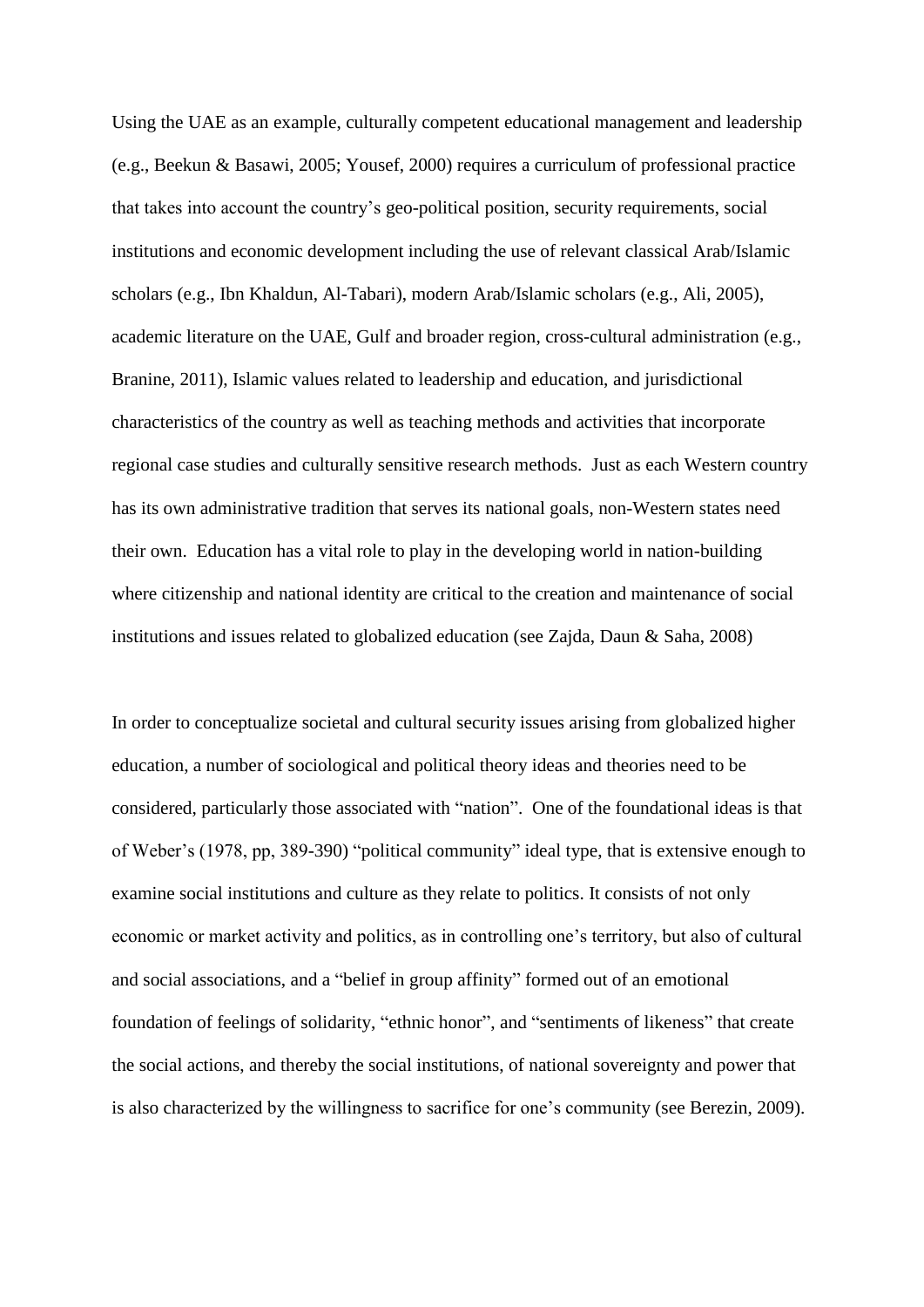Using the UAE as an example, culturally competent educational management and leadership (e.g., Beekun & Basawi, 2005; Yousef, 2000) requires a curriculum of professional practice that takes into account the country's geo-political position, security requirements, social institutions and economic development including the use of relevant classical Arab/Islamic scholars (e.g., Ibn Khaldun, Al-Tabari), modern Arab/Islamic scholars (e.g., Ali, 2005), academic literature on the UAE, Gulf and broader region, cross-cultural administration (e.g., Branine, 2011), Islamic values related to leadership and education, and jurisdictional characteristics of the country as well as teaching methods and activities that incorporate regional case studies and culturally sensitive research methods. Just as each Western country has its own administrative tradition that serves its national goals, non-Western states need their own. Education has a vital role to play in the developing world in nation-building where citizenship and national identity are critical to the creation and maintenance of social institutions and issues related to globalized education (see Zajda, Daun & Saha, 2008)

In order to conceptualize societal and cultural security issues arising from globalized higher education, a number of sociological and political theory ideas and theories need to be considered, particularly those associated with "nation". One of the foundational ideas is that of Weber's (1978, pp, 389-390) "political community" ideal type, that is extensive enough to examine social institutions and culture as they relate to politics. It consists of not only economic or market activity and politics, as in controlling one's territory, but also of cultural and social associations, and a "belief in group affinity" formed out of an emotional foundation of feelings of solidarity, "ethnic honor", and "sentiments of likeness" that create the social actions, and thereby the social institutions, of national sovereignty and power that is also characterized by the willingness to sacrifice for one's community (see Berezin, 2009).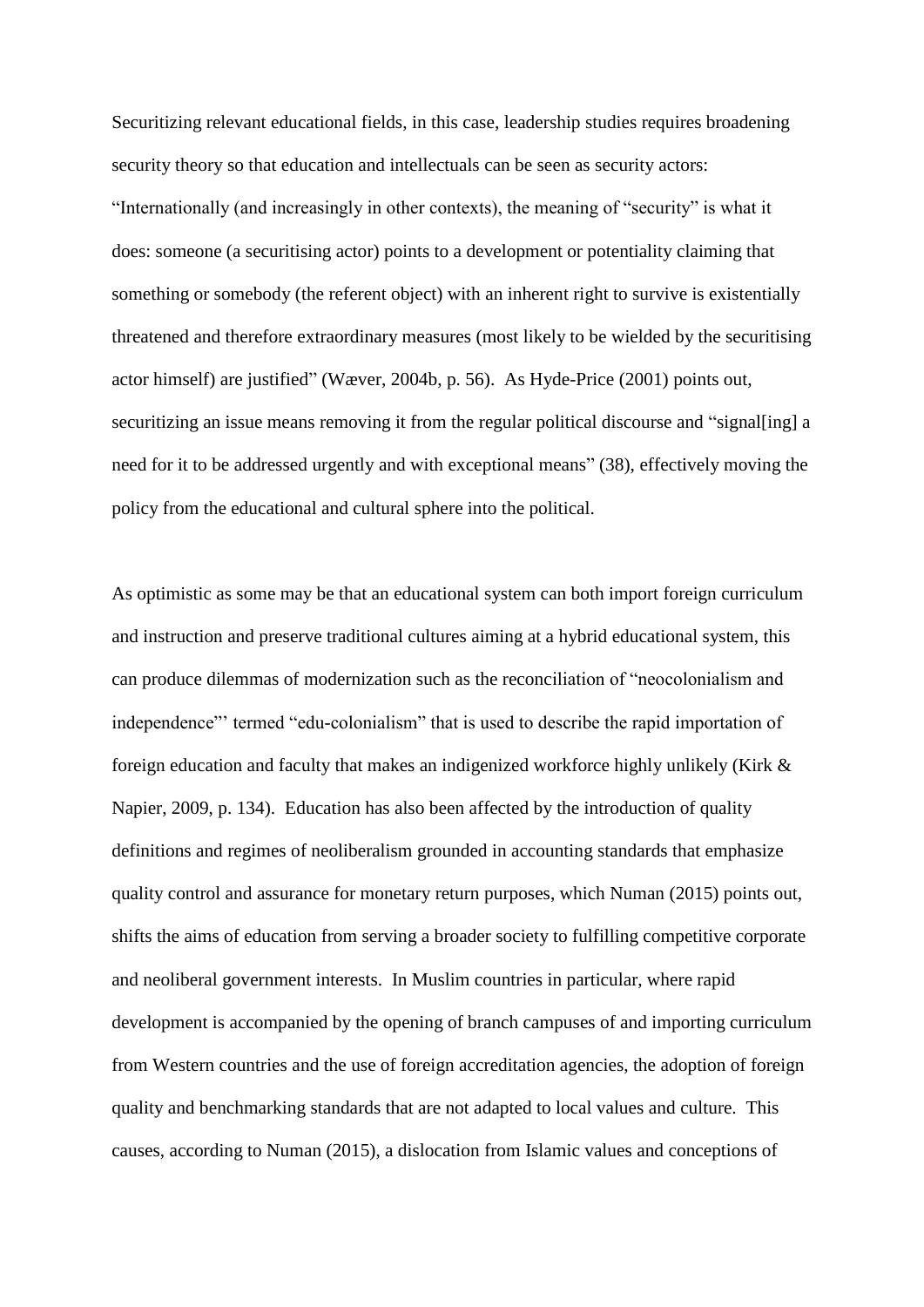Securitizing relevant educational fields, in this case, leadership studies requires broadening security theory so that education and intellectuals can be seen as security actors: "Internationally (and increasingly in other contexts), the meaning of "security" is what it does: someone (a securitising actor) points to a development or potentiality claiming that something or somebody (the referent object) with an inherent right to survive is existentially threatened and therefore extraordinary measures (most likely to be wielded by the securitising actor himself) are justified" (Wæver, 2004b, p. 56). As Hyde-Price (2001) points out, securitizing an issue means removing it from the regular political discourse and "signal[ing] a need for it to be addressed urgently and with exceptional means" (38), effectively moving the policy from the educational and cultural sphere into the political.

As optimistic as some may be that an educational system can both import foreign curriculum and instruction and preserve traditional cultures aiming at a hybrid educational system, this can produce dilemmas of modernization such as the reconciliation of "neocolonialism and independence"' termed "edu-colonialism" that is used to describe the rapid importation of foreign education and faculty that makes an indigenized workforce highly unlikely (Kirk & Napier, 2009, p. 134). Education has also been affected by the introduction of quality definitions and regimes of neoliberalism grounded in accounting standards that emphasize quality control and assurance for monetary return purposes, which Numan (2015) points out, shifts the aims of education from serving a broader society to fulfilling competitive corporate and neoliberal government interests. In Muslim countries in particular, where rapid development is accompanied by the opening of branch campuses of and importing curriculum from Western countries and the use of foreign accreditation agencies, the adoption of foreign quality and benchmarking standards that are not adapted to local values and culture. This causes, according to Numan (2015), a dislocation from Islamic values and conceptions of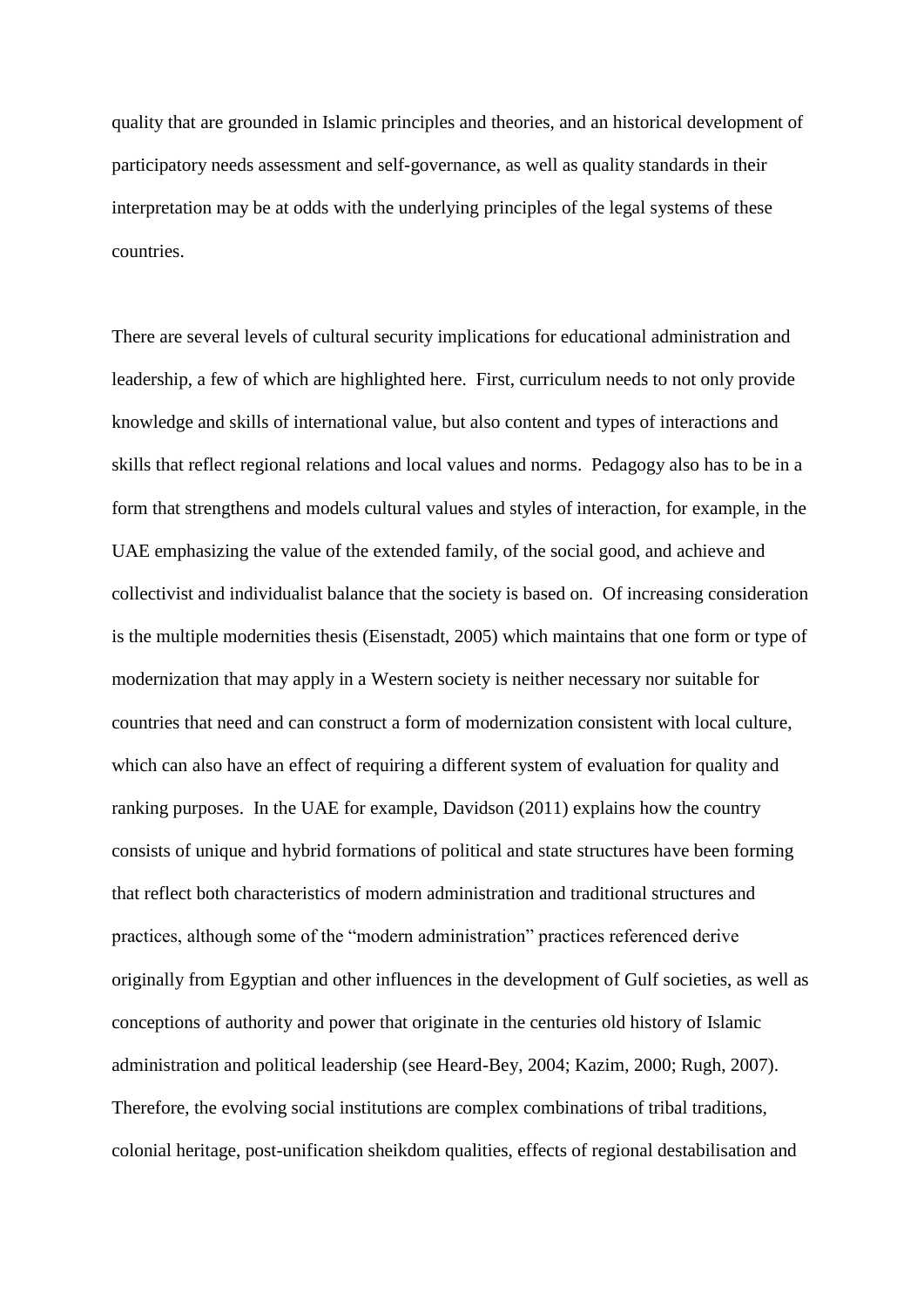quality that are grounded in Islamic principles and theories, and an historical development of participatory needs assessment and self-governance, as well as quality standards in their interpretation may be at odds with the underlying principles of the legal systems of these countries.

There are several levels of cultural security implications for educational administration and leadership, a few of which are highlighted here. First, curriculum needs to not only provide knowledge and skills of international value, but also content and types of interactions and skills that reflect regional relations and local values and norms. Pedagogy also has to be in a form that strengthens and models cultural values and styles of interaction, for example, in the UAE emphasizing the value of the extended family, of the social good, and achieve and collectivist and individualist balance that the society is based on. Of increasing consideration is the multiple modernities thesis (Eisenstadt, 2005) which maintains that one form or type of modernization that may apply in a Western society is neither necessary nor suitable for countries that need and can construct a form of modernization consistent with local culture, which can also have an effect of requiring a different system of evaluation for quality and ranking purposes. In the UAE for example, Davidson (2011) explains how the country consists of unique and hybrid formations of political and state structures have been forming that reflect both characteristics of modern administration and traditional structures and practices, although some of the "modern administration" practices referenced derive originally from Egyptian and other influences in the development of Gulf societies, as well as conceptions of authority and power that originate in the centuries old history of Islamic administration and political leadership (see Heard-Bey, 2004; Kazim, 2000; Rugh, 2007). Therefore, the evolving social institutions are complex combinations of tribal traditions, colonial heritage, post-unification sheikdom qualities, effects of regional destabilisation and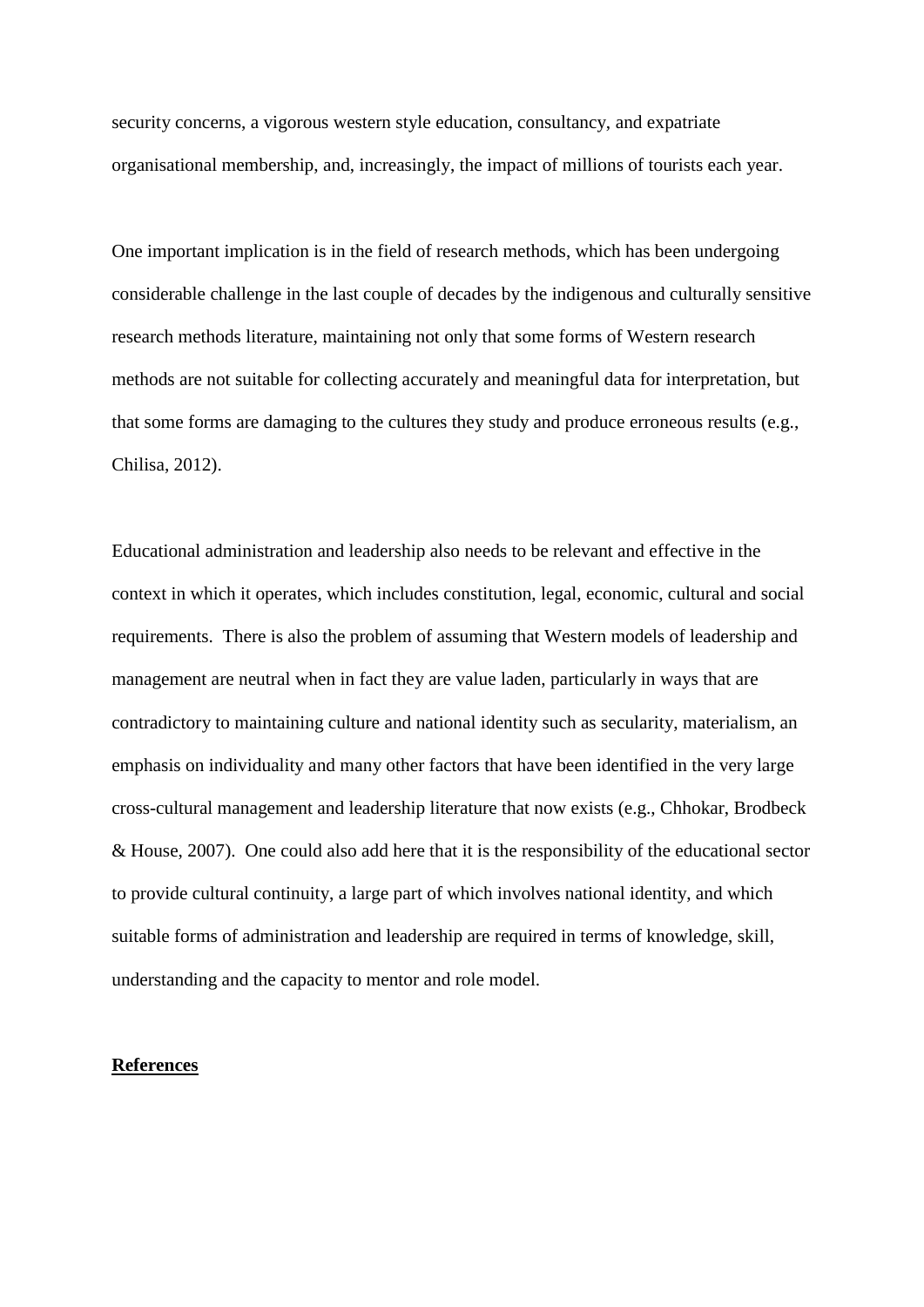security concerns, a vigorous western style education, consultancy, and expatriate organisational membership, and, increasingly, the impact of millions of tourists each year.

One important implication is in the field of research methods, which has been undergoing considerable challenge in the last couple of decades by the indigenous and culturally sensitive research methods literature, maintaining not only that some forms of Western research methods are not suitable for collecting accurately and meaningful data for interpretation, but that some forms are damaging to the cultures they study and produce erroneous results (e.g., Chilisa, 2012).

Educational administration and leadership also needs to be relevant and effective in the context in which it operates, which includes constitution, legal, economic, cultural and social requirements. There is also the problem of assuming that Western models of leadership and management are neutral when in fact they are value laden, particularly in ways that are contradictory to maintaining culture and national identity such as secularity, materialism, an emphasis on individuality and many other factors that have been identified in the very large cross-cultural management and leadership literature that now exists (e.g., Chhokar, Brodbeck & House, 2007). One could also add here that it is the responsibility of the educational sector to provide cultural continuity, a large part of which involves national identity, and which suitable forms of administration and leadership are required in terms of knowledge, skill, understanding and the capacity to mentor and role model.

## **References**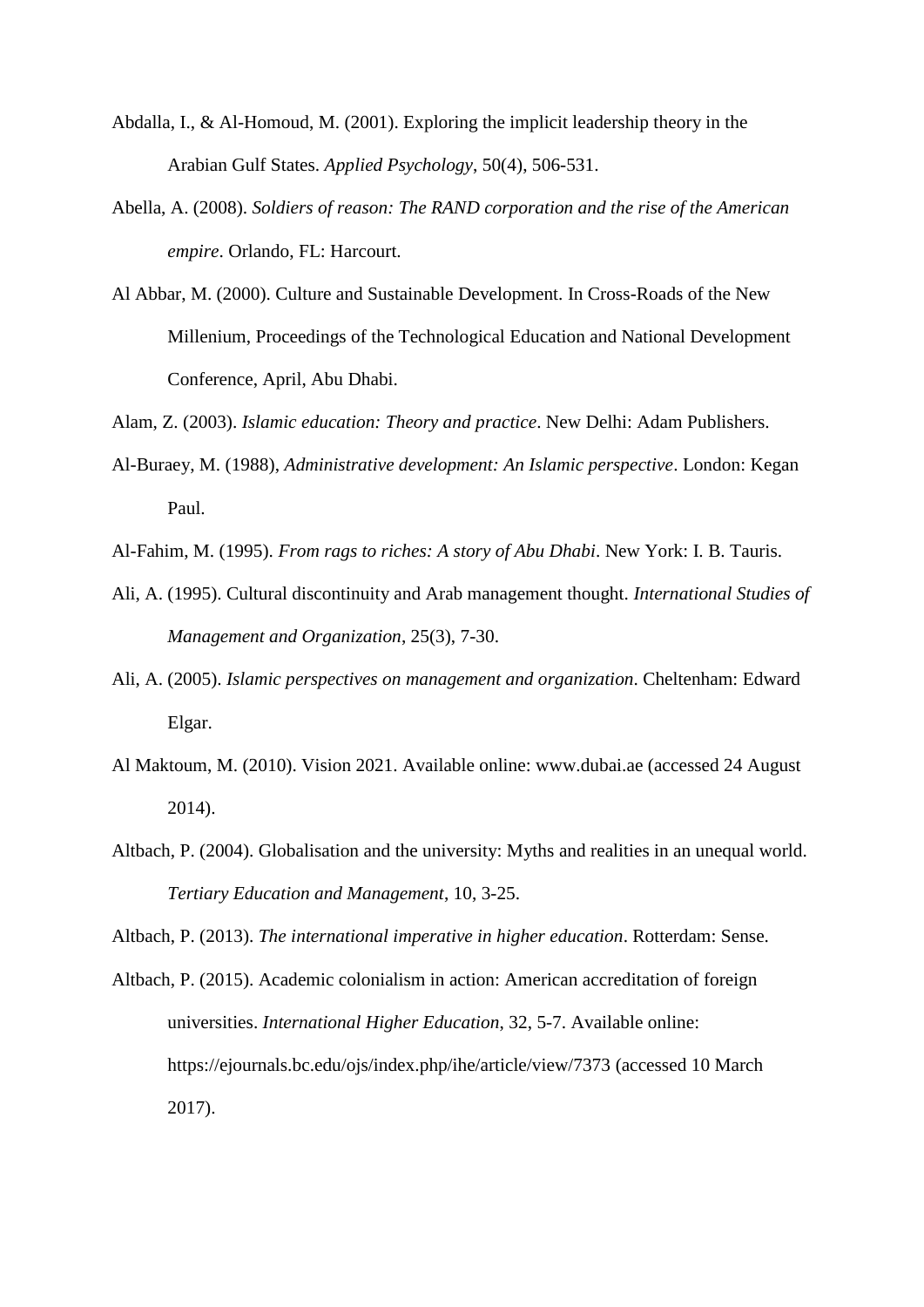- Abdalla, I., & Al-Homoud, M. (2001). Exploring the implicit leadership theory in the Arabian Gulf States. *Applied Psychology*, 50(4), 506-531.
- Abella, A. (2008). *Soldiers of reason: The RAND corporation and the rise of the American empire*. Orlando, FL: Harcourt.
- Al Abbar, M. (2000). Culture and Sustainable Development. In Cross-Roads of the New Millenium, Proceedings of the Technological Education and National Development Conference, April, Abu Dhabi.
- Alam, Z. (2003). *Islamic education: Theory and practice*. New Delhi: Adam Publishers.
- Al-Buraey, M. (1988), *Administrative development: An Islamic perspective*. London: Kegan Paul.
- Al-Fahim, M. (1995). *From rags to riches: A story of Abu Dhabi*. New York: I. B. Tauris.
- Ali, A. (1995). Cultural discontinuity and Arab management thought. *International Studies of Management and Organization*, 25(3), 7-30.
- Ali, A. (2005). *Islamic perspectives on management and organization*. Cheltenham: Edward Elgar.
- Al Maktoum, M. (2010). Vision 2021. Available online: [www.dubai.ae](http://www.dubai.ae/) (accessed 24 August 2014).
- Altbach, P. (2004). Globalisation and the university: Myths and realities in an unequal world. *Tertiary Education and Management*, 10, 3-25.

Altbach, P. (2013). *The international imperative in higher education*. Rotterdam: Sense.

Altbach, P. (2015). Academic colonialism in action: American accreditation of foreign universities. *International Higher Education*, 32, 5-7. Available online: <https://ejournals.bc.edu/ojs/index.php/ihe/article/view/7373> (accessed 10 March 2017).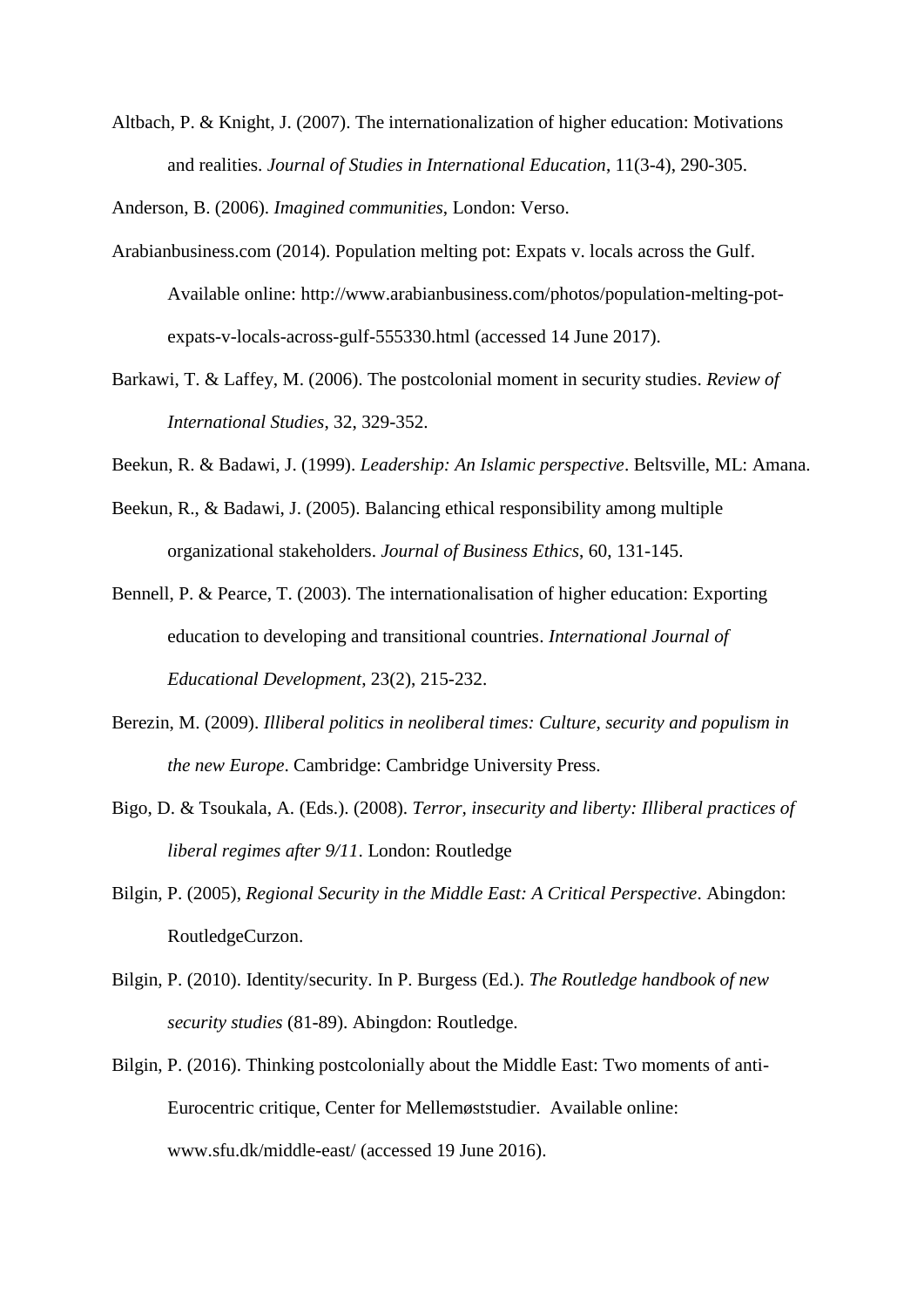Altbach, P. & Knight, J. (2007). The internationalization of higher education: Motivations and realities. *Journal of Studies in International Education*, 11(3-4), 290-305.

Anderson, B. (2006). *Imagined communities*, London: Verso.

- Arabianbusiness.com (2014). Population melting pot: Expats v. locals across the Gulf. Available online: [http://www.arabianbusiness.com/photos/population-melting-pot](http://www.arabianbusiness.com/photos/population-melting-pot-expats-v-locals-across-gulf-555330.html)[expats-v-locals-across-gulf-555330.html](http://www.arabianbusiness.com/photos/population-melting-pot-expats-v-locals-across-gulf-555330.html) (accessed 14 June 2017).
- Barkawi, T. & Laffey, M. (2006). The postcolonial moment in security studies. *Review of International Studies*, 32, 329-352.
- Beekun, R. & Badawi, J. (1999). *Leadership: An Islamic perspective*. Beltsville, ML: Amana.
- Beekun, R., & Badawi, J. (2005). Balancing ethical responsibility among multiple organizational stakeholders. *Journal of Business Ethics*, 60, 131-145.
- Bennell, P. & Pearce, T. (2003). The internationalisation of higher education: Exporting education to developing and transitional countries. *International Journal of Educational Development*, 23(2), 215-232.
- Berezin, M. (2009). *Illiberal politics in neoliberal times: Culture, security and populism in the new Europe*. Cambridge: Cambridge University Press.
- Bigo, D. & Tsoukala, A. (Eds.). (2008). *Terror, insecurity and liberty: Illiberal practices of liberal regimes after 9/11*. London: Routledge
- Bilgin, P. (2005), *Regional Security in the Middle East: A Critical Perspective*. Abingdon: RoutledgeCurzon.
- Bilgin, P. (2010). Identity/security. In P. Burgess (Ed.). *The Routledge handbook of new security studies* (81-89). Abingdon: Routledge.
- Bilgin, P. (2016). Thinking postcolonially about the Middle East: Two moments of anti-Eurocentric critique, Center for Mellemøststudier. Available online: [www.sfu.dk/middle-east/](http://www.sfu.dk/middle-east/) (accessed 19 June 2016).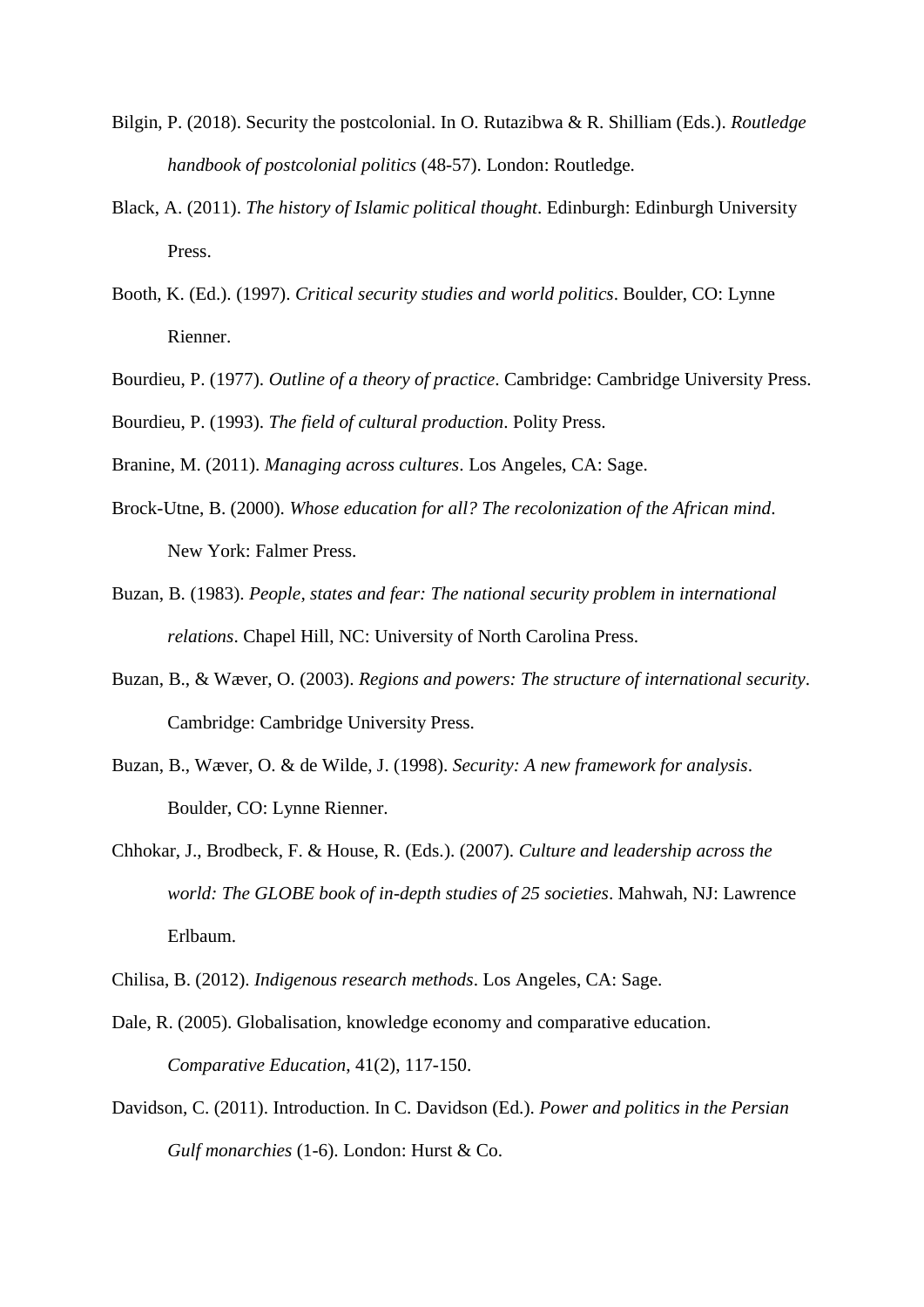- Bilgin, P. (2018). Security the postcolonial. In O. Rutazibwa & R. Shilliam (Eds.). *Routledge handbook of postcolonial politics* (48-57). London: Routledge.
- Black, A. (2011). *The history of Islamic political thought*. Edinburgh: Edinburgh University Press.
- Booth, K. (Ed.). (1997). *Critical security studies and world politics*. Boulder, CO: Lynne Rienner.
- Bourdieu, P. (1977). *Outline of a theory of practice*. Cambridge: Cambridge University Press.
- Bourdieu, P. (1993). *The field of cultural production*. Polity Press.
- Branine, M. (2011). *Managing across cultures*. Los Angeles, CA: Sage.
- Brock-Utne, B. (2000). *Whose education for all? The recolonization of the African mind*. New York: Falmer Press.
- Buzan, B. (1983). *People, states and fear: The national security problem in international relations*. Chapel Hill, NC: University of North Carolina Press.
- Buzan, B., & Wæver, O. (2003). *Regions and powers: The structure of international security*. Cambridge: Cambridge University Press.
- Buzan, B., Wæver, O. & de Wilde, J. (1998). *Security: A new framework for analysis*. Boulder, CO: Lynne Rienner.
- Chhokar, J., Brodbeck, F. & House, R. (Eds.). (2007). *Culture and leadership across the world: The GLOBE book of in-depth studies of 25 societies*. Mahwah, NJ: Lawrence Erlbaum.
- Chilisa, B. (2012). *Indigenous research methods*. Los Angeles, CA: Sage.
- Dale, R. (2005). Globalisation, knowledge economy and comparative education. *Comparative Education*, 41(2), 117-150.
- Davidson, C. (2011). Introduction. In C. Davidson (Ed.). *Power and politics in the Persian Gulf monarchies* (1-6). London: Hurst & Co.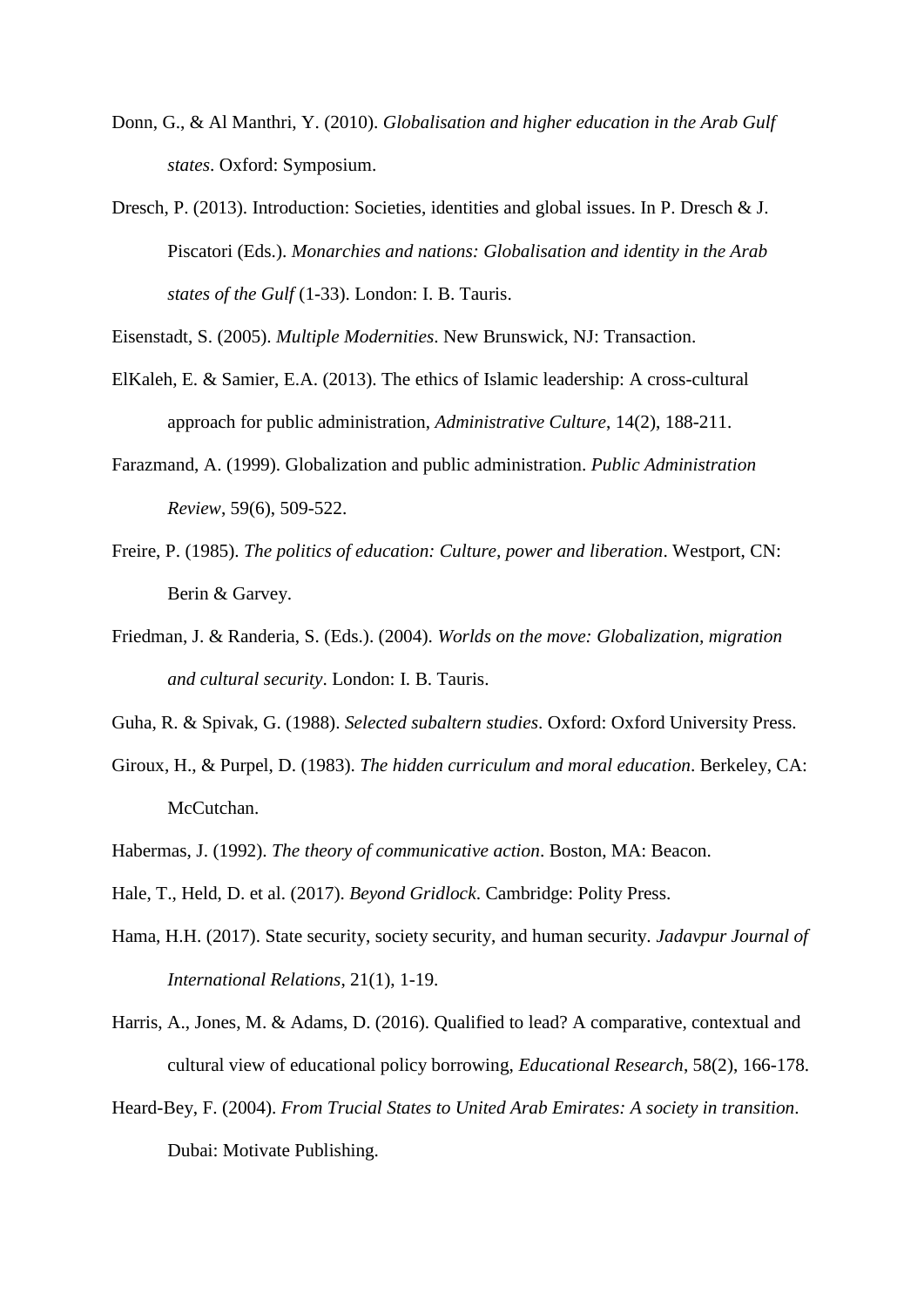- Donn, G., & Al Manthri, Y. (2010). *Globalisation and higher education in the Arab Gulf states*. Oxford: Symposium.
- Dresch, P. (2013). Introduction: Societies, identities and global issues. In P. Dresch & J. Piscatori (Eds.). *Monarchies and nations: Globalisation and identity in the Arab states of the Gulf* (1-33). London: I. B. Tauris.

Eisenstadt, S. (2005). *Multiple Modernities*. New Brunswick, NJ: Transaction.

- ElKaleh, E. & Samier, E.A. (2013). The ethics of Islamic leadership: A cross-cultural approach for public administration, *Administrative Culture*, 14(2), 188-211.
- Farazmand, A. (1999). Globalization and public administration. *Public Administration Review*, 59(6), 509-522.
- Freire, P. (1985). *The politics of education: Culture, power and liberation*. Westport, CN: Berin & Garvey.
- Friedman, J. & Randeria, S. (Eds.). (2004). *Worlds on the move: Globalization, migration and cultural security*. London: I. B. Tauris.
- Guha, R. & Spivak, G. (1988). *Selected subaltern studies*. Oxford: Oxford University Press.
- Giroux, H., & Purpel, D. (1983). *The hidden curriculum and moral education*. Berkeley, CA: McCutchan.
- Habermas, J. (1992). *The theory of communicative action*. Boston, MA: Beacon.
- Hale, T., Held, D. et al. (2017). *Beyond Gridlock*. Cambridge: Polity Press.
- Hama, H.H. (2017). State security, society security, and human security. *Jadavpur Journal of International Relations*, 21(1), 1-19.
- Harris, A., Jones, M. & Adams, D. (2016). Qualified to lead? A comparative, contextual and cultural view of educational policy borrowing, *Educational Research*, 58(2), 166-178.
- Heard-Bey, F. (2004). *From Trucial States to United Arab Emirates: A society in transition*. Dubai: Motivate Publishing.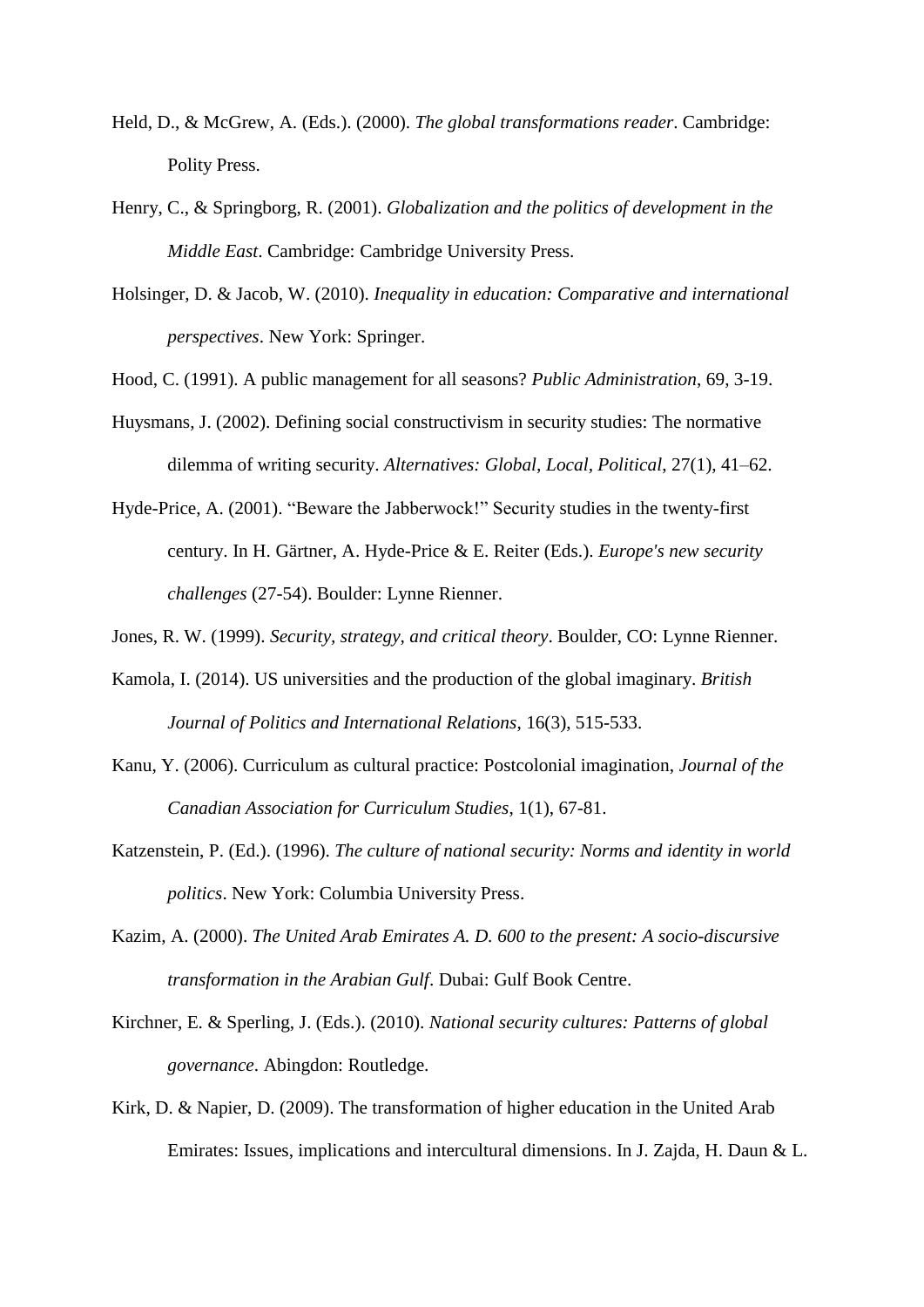- Held, D., & McGrew, A. (Eds.). (2000). *The global transformations reader*. Cambridge: Polity Press.
- Henry, C., & Springborg, R. (2001). *Globalization and the politics of development in the Middle East*. Cambridge: Cambridge University Press.
- Holsinger, D. & Jacob, W. (2010). *Inequality in education: Comparative and international perspectives*. New York: Springer.
- Hood, C. (1991). A public management for all seasons? *Public Administration*, 69, 3-19.
- Huysmans, J. (2002). Defining social constructivism in security studies: The normative dilemma of writing security. *Alternatives: Global, Local, Political*, 27(1), 41–62.
- Hyde-Price, A. (2001). "Beware the Jabberwock!" Security studies in the twenty-first century. In H. Gärtner, A. Hyde-Price & E. Reiter (Eds.). *Europe's new security challenges* (27-54). Boulder: Lynne Rienner.
- Jones, R. W. (1999). *Security, strategy, and critical theory*. Boulder, CO: Lynne Rienner.
- Kamola, I. (2014). US universities and the production of the global imaginary. *British Journal of Politics and International Relations*, 16(3), 515-533.
- Kanu, Y. (2006). Curriculum as cultural practice: Postcolonial imagination, *Journal of the Canadian Association for Curriculum Studies*, 1(1), 67-81.
- Katzenstein, P. (Ed.). (1996). *The culture of national security: Norms and identity in world politics*. New York: Columbia University Press.
- Kazim, A. (2000). *The United Arab Emirates A. D. 600 to the present: A socio-discursive transformation in the Arabian Gulf*. Dubai: Gulf Book Centre.
- Kirchner, E. & Sperling, J. (Eds.). (2010). *National security cultures: Patterns of global governance*. Abingdon: Routledge.
- Kirk, D. & Napier, D. (2009). The transformation of higher education in the United Arab Emirates: Issues, implications and intercultural dimensions. In J. Zajda, H. Daun & L.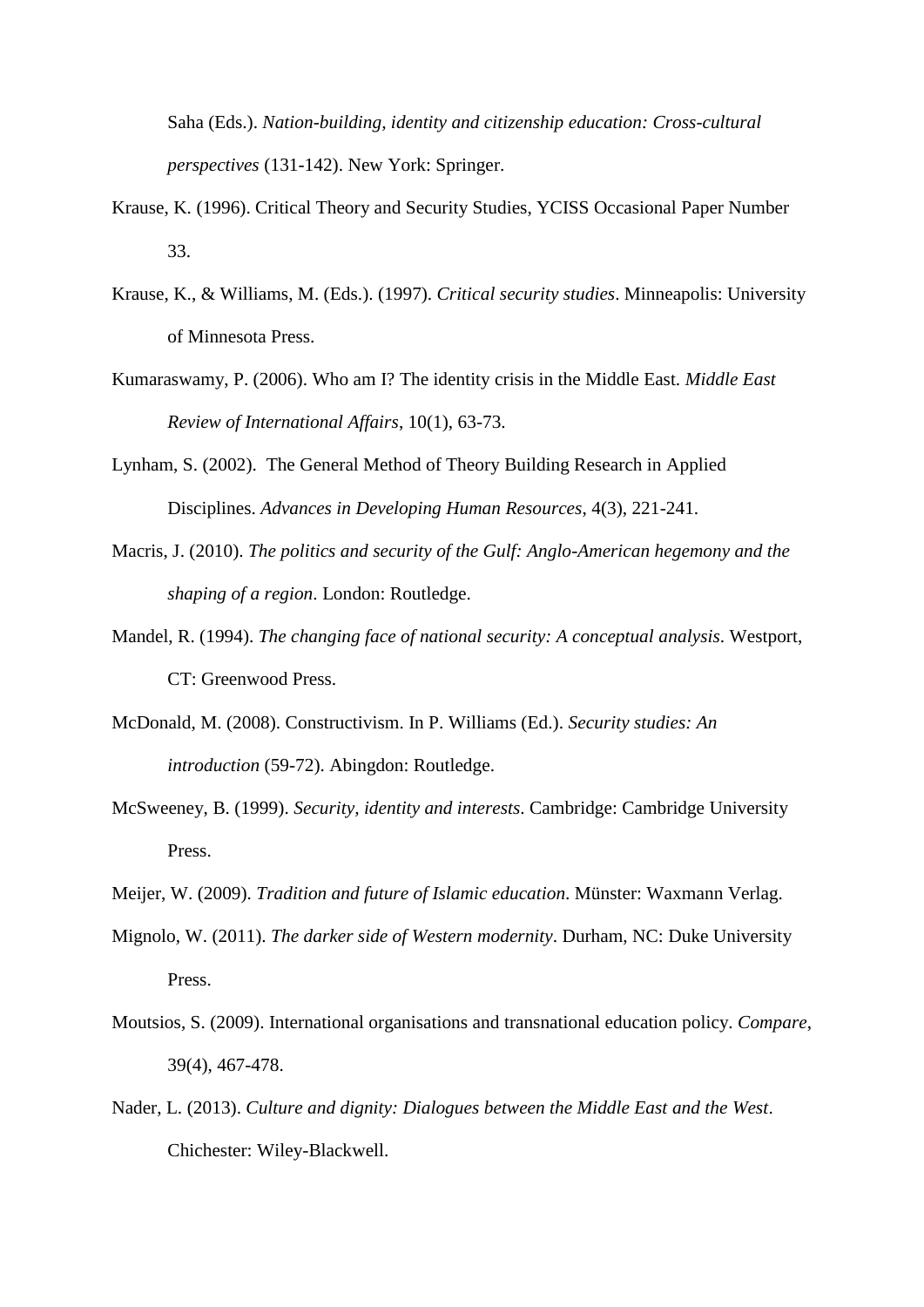Saha (Eds.). *Nation-building, identity and citizenship education: Cross-cultural perspectives* (131-142). New York: Springer.

- Krause, K. (1996). Critical Theory and Security Studies, YCISS Occasional Paper Number 33.
- Krause, K., & Williams, M. (Eds.). (1997). *Critical security studies*. Minneapolis: University of Minnesota Press.
- Kumaraswamy, P. (2006). Who am I? The identity crisis in the Middle East. *Middle East Review of International Affairs*, 10(1), 63-73.
- Lynham, S. (2002). The General Method of Theory Building Research in Applied Disciplines. *Advances in Developing Human Resources*, 4(3), 221-241.
- Macris, J. (2010). *The politics and security of the Gulf: Anglo-American hegemony and the shaping of a region*. London: Routledge.
- Mandel, R. (1994). *The changing face of national security: A conceptual analysis*. Westport, CT: Greenwood Press.
- McDonald, M. (2008). Constructivism. In P. Williams (Ed.). *Security studies: An introduction* (59-72). Abingdon: Routledge.
- McSweeney, B. (1999). *Security, identity and interests*. Cambridge: Cambridge University Press.
- Meijer, W. (2009). *Tradition and future of Islamic education*. Münster: Waxmann Verlag.
- Mignolo, W. (2011). *The darker side of Western modernity*. Durham, NC: Duke University Press.
- Moutsios, S. (2009). International organisations and transnational education policy. *Compare*, 39(4), 467-478.
- Nader, L. (2013). *Culture and dignity: Dialogues between the Middle East and the West*. Chichester: Wiley-Blackwell.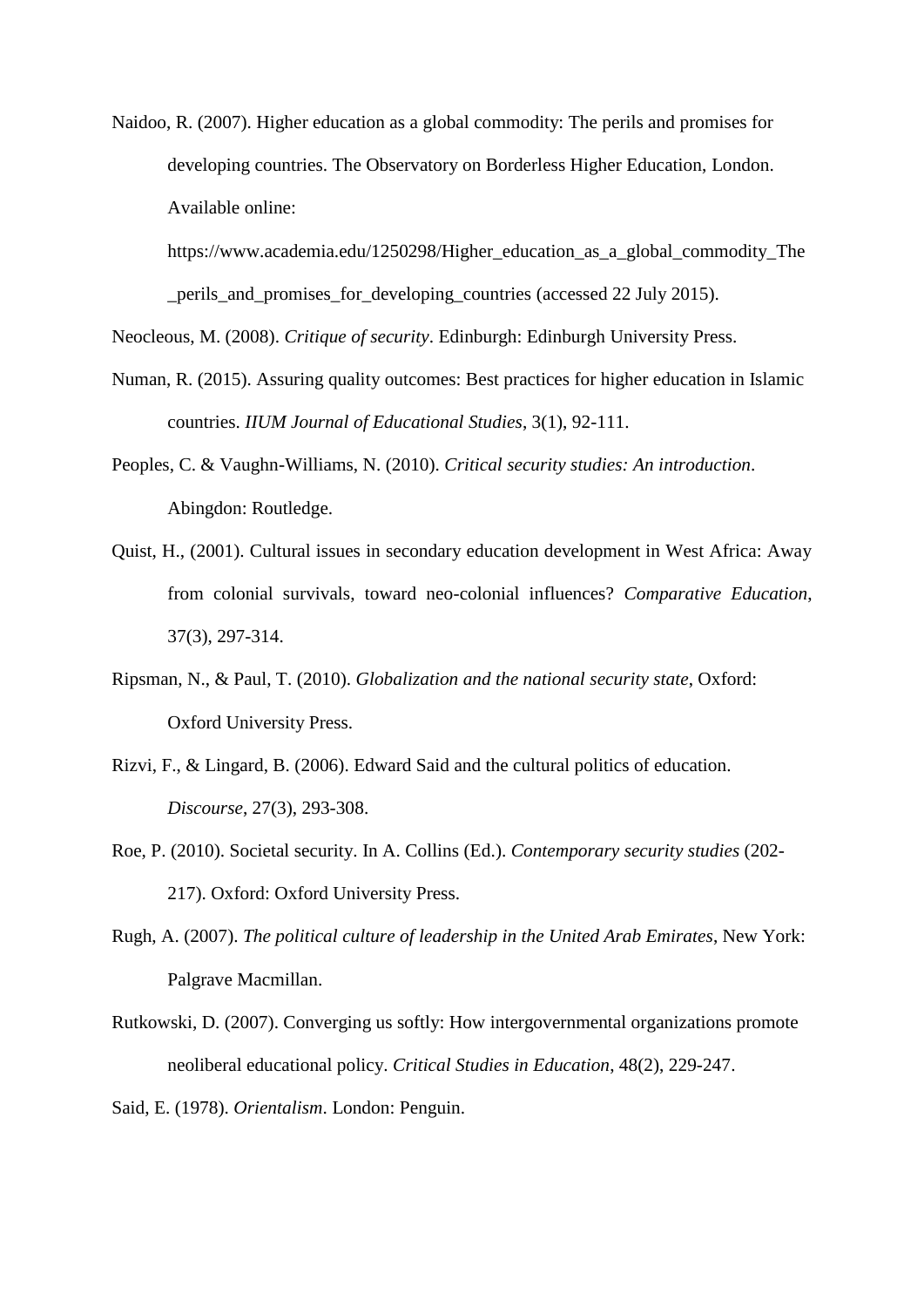Naidoo, R. (2007). Higher education as a global commodity: The perils and promises for developing countries. The Observatory on Borderless Higher Education, London. Available online:

[https://www.academia.edu/1250298/Higher\\_education\\_as\\_a\\_global\\_commodity\\_The](https://www.academia.edu/1250298/Higher_education_as_a_global_commodity_The_perils_and_promises_for_developing_countries) [\\_perils\\_and\\_promises\\_for\\_developing\\_countries](https://www.academia.edu/1250298/Higher_education_as_a_global_commodity_The_perils_and_promises_for_developing_countries) (accessed 22 July 2015).

Neocleous, M. (2008). *Critique of security*. Edinburgh: Edinburgh University Press.

- Numan, R. (2015). Assuring quality outcomes: Best practices for higher education in Islamic countries. *IIUM Journal of Educational Studies*, 3(1), 92-111.
- Peoples, C. & Vaughn-Williams, N. (2010). *Critical security studies: An introduction*. Abingdon: Routledge.
- Quist, H., (2001). Cultural issues in secondary education development in West Africa: Away from colonial survivals, toward neo-colonial influences? *Comparative Education*, 37(3), 297-314.
- Ripsman, N., & Paul, T. (2010). *Globalization and the national security state*, Oxford: Oxford University Press.
- Rizvi, F., & Lingard, B. (2006). Edward Said and the cultural politics of education. *Discourse*, 27(3), 293-308.
- Roe, P. (2010). Societal security. In A. Collins (Ed.). *Contemporary security studies* (202- 217). Oxford: Oxford University Press.
- Rugh, A. (2007). *The political culture of leadership in the United Arab Emirates*, New York: Palgrave Macmillan.
- Rutkowski, D. (2007). Converging us softly: How intergovernmental organizations promote neoliberal educational policy. *Critical Studies in Education*, 48(2), 229-247.

Said, E. (1978). *Orientalism*. London: Penguin.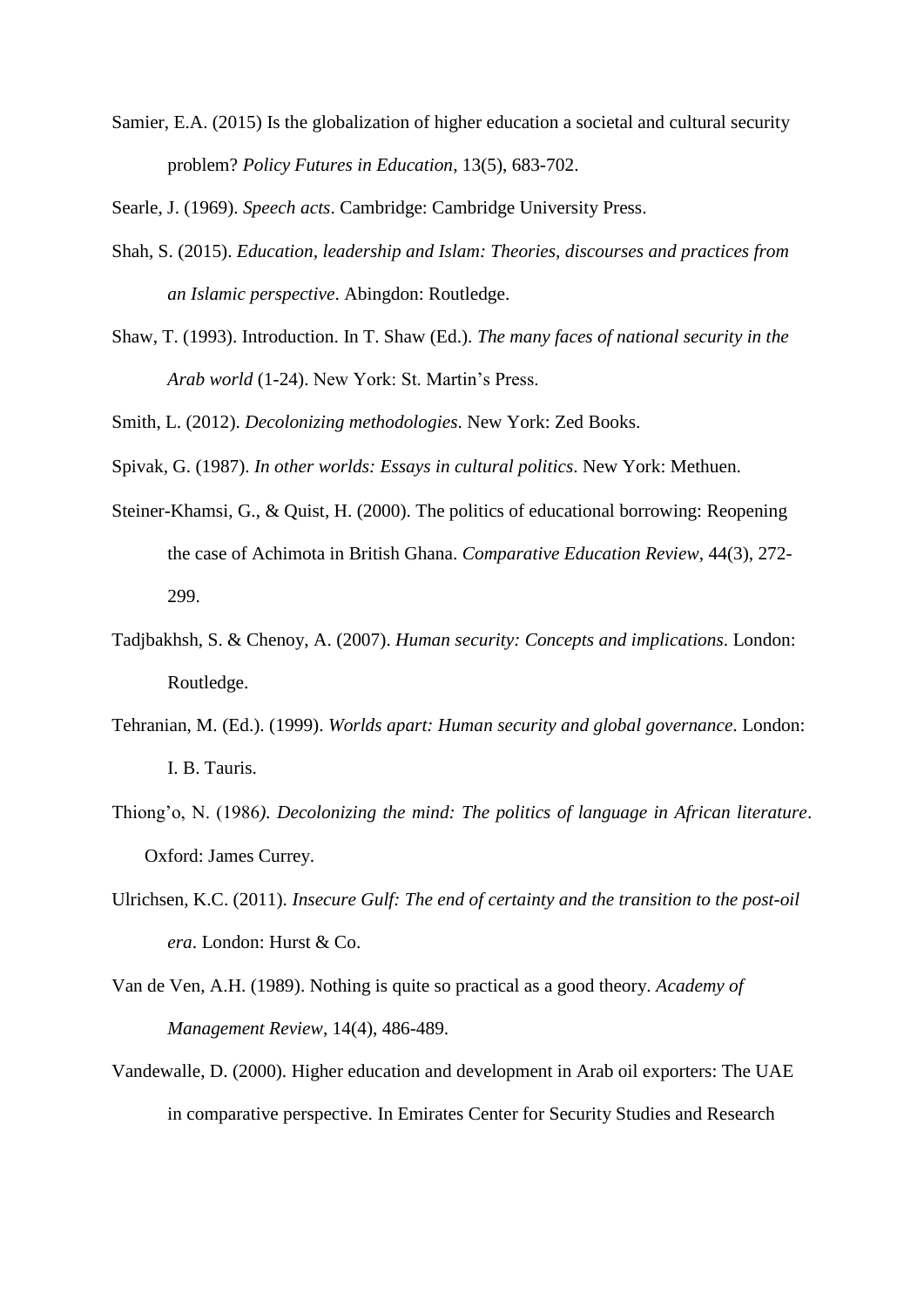Samier, E.A. (2015) Is the globalization of higher education a societal and cultural security problem? *Policy Futures in Education*, 13(5), 683-702.

Searle, J. (1969). *Speech acts*. Cambridge: Cambridge University Press.

- Shah, S. (2015). *Education, leadership and Islam: Theories, discourses and practices from an Islamic perspective*. Abingdon: Routledge.
- Shaw, T. (1993). Introduction. In T. Shaw (Ed.). *The many faces of national security in the Arab world* (1-24). New York: St. Martin's Press.

Smith, L. (2012). *Decolonizing methodologies*. New York: Zed Books.

Spivak, G. (1987). *In other worlds: Essays in cultural politics*. New York: Methuen.

- Steiner-Khamsi, G., & Quist, H. (2000). The politics of educational borrowing: Reopening the case of Achimota in British Ghana. *Comparative Education Review*, 44(3), 272- 299.
- Tadjbakhsh, S. & Chenoy, A. (2007). *Human security: Concepts and implications*. London: Routledge.
- Tehranian, M. (Ed.). (1999). *Worlds apart: Human security and global governance*. London: I. B. Tauris.
- Thiong'o, N. (1986*). Decolonizing the mind: The politics of language in African literature*. Oxford: James Currey.
- Ulrichsen, K.C. (2011). *Insecure Gulf: The end of certainty and the transition to the post-oil era*. London: Hurst & Co.
- Van de Ven, A.H. (1989). Nothing is quite so practical as a good theory. *Academy of Management Review*, 14(4), 486-489.
- Vandewalle, D. (2000). Higher education and development in Arab oil exporters: The UAE in comparative perspective. In Emirates Center for Security Studies and Research